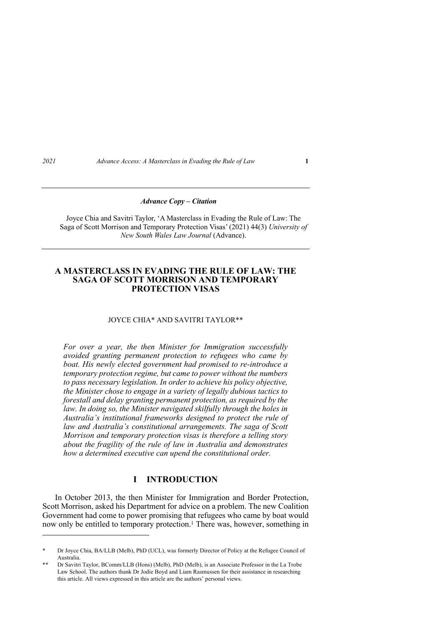#### *Advance Copy – Citation*

Joyce Chia and Savitri Taylor, 'A Masterclass in Evading the Rule of Law: The Saga of Scott Morrison and Temporary Protection Visas' (2021) 44(3) *University of New South Wales Law Journal* (Advance).

# **A MASTERCLASS IN EVADING THE RULE OF LAW: THE SAGA OF SCOTT MORRISON AND TEMPORARY PROTECTION VISAS**

# JOYCE CHIA\* AND SAVITRI TAYLOR\*\*

*For over a year, the then Minister for Immigration successfully avoided granting permanent protection to refugees who came by boat. His newly elected government had promised to re-introduce a temporary protection regime, but came to power without the numbers to pass necessary legislation. In order to achieve his policy objective, the Minister chose to engage in a variety of legally dubious tactics to forestall and delay granting permanent protection, as required by the law. In doing so, the Minister navigated skilfully through the holes in Australia's institutional frameworks designed to protect the rule of law and Australia's constitutional arrangements. The saga of Scott Morrison and temporary protection visas is therefore a telling story about the fragility of the rule of law in Australia and demonstrates how a determined executive can upend the constitutional order.*

# **I INTRODUCTION**

In October 2013, the then Minister for Immigration and Border Protection, Scott Morrison, asked his Department for advice on a problem. The new Coalition Government had come to power promising that refugees who came by boat would now only be entitled to temporary protection.<sup>1</sup> There was, however, something in

<sup>\*</sup> Dr Joyce Chia, BA/LLB (Melb), PhD (UCL), was formerly Director of Policy at the Refugee Council of Australia.

Dr Savitri Taylor, BComm/LLB (Hons) (Melb), PhD (Melb), is an Associate Professor in the La Trobe Law School. The authors thank Dr Jodie Boyd and Liam Rasmussen for their assistance in researching this article. All views expressed in this article are the authors' personal views.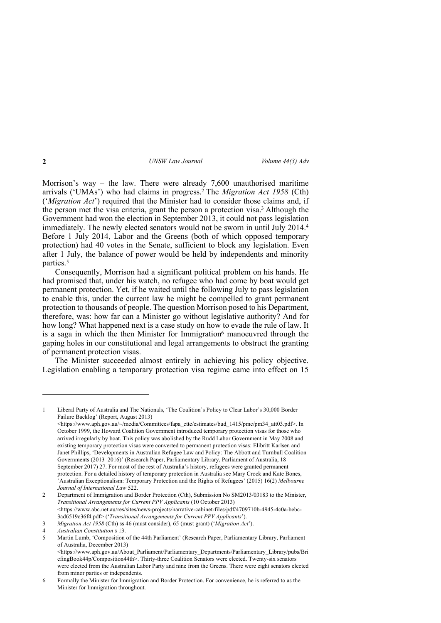Morrison's way – the law. There were already 7,600 unauthorised maritime arrivals ('UMAs') who had claims in progress. <sup>2</sup> The *Migration Act 1958* (Cth) ('*Migration Act*') required that the Minister had to consider those claims and, if the person met the visa criteria, grant the person a protection visa.3 Although the Government had won the election in September 2013, it could not pass legislation immediately. The newly elected senators would not be sworn in until July 2014. 4 Before 1 July 2014, Labor and the Greens (both of which opposed temporary protection) had 40 votes in the Senate, sufficient to block any legislation. Even after 1 July, the balance of power would be held by independents and minority parties. 5

Consequently, Morrison had a significant political problem on his hands. He had promised that, under his watch, no refugee who had come by boat would get permanent protection. Yet, if he waited until the following July to pass legislation to enable this, under the current law he might be compelled to grant permanent protection to thousands of people. The question Morrison posed to his Department, therefore, was: how far can a Minister go without legislative authority? And for how long? What happened next is a case study on how to evade the rule of law. It is a saga in which the then Minister for Immigration<sup>6</sup> manoeuvred through the gaping holes in our constitutional and legal arrangements to obstruct the granting of permanent protection visas.

The Minister succeeded almost entirely in achieving his policy objective. Legislation enabling a temporary protection visa regime came into effect on 15

<sup>1</sup> Liberal Party of Australia and The Nationals, 'The Coalition's Policy to Clear Labor's 30,000 Border Failure Backlog' (Report, August 2013) <https://www.aph.gov.au/~/media/Committees/fapa\_ctte/estimates/bud\_1415/pmc/pm34\_att03.pdf>. In October 1999, the Howard Coalition Government introduced temporary protection visas for those who arrived irregularly by boat. This policy was abolished by the Rudd Labor Government in May 2008 and existing temporary protection visas were converted to permanent protection visas: Elibritt Karlsen and Janet Phillips, 'Developments in Australian Refugee Law and Policy: The Abbott and Turnbull Coalition Governments (2013–2016)' (Research Paper, Parliamentary Library, Parliament of Australia, 18 September 2017) 27. For most of the rest of Australia's history, refugees were granted permanent protection. For a detailed history of temporary protection in Australia see Mary Crock and Kate Bones, 'Australian Exceptionalism: Temporary Protection and the Rights of Refugees' (2015) 16(2) *Melbourne* 

*Journal of International Law* 522.

<sup>2</sup> Department of Immigration and Border Protection (Cth), Submission No SM2013/03183 to the Minister, *Transitional Arrangements for Current PPV Applicants* (10 October 2013) <https://www.abc.net.au/res/sites/news-projects/narrative-cabinet-files/pdf/4709710b-4945-4c0a-bebc-3ad6519c36f4.pdf> ('*Transitional Arrangements for Current PPV Applicants*').

<sup>3</sup> *Migration Act 1958* (Cth) ss 46 (must consider), 65 (must grant) ('*Migration Act*').

<sup>4</sup> *Australian Constitution* s 13.

<sup>5</sup> Martin Lumb, 'Composition of the 44th Parliament' (Research Paper, Parliamentary Library, Parliament of Australia, December 2013)

<sup>&</sup>lt;https://www.aph.gov.au/About\_Parliament/Parliamentary\_Departments/Parliamentary\_Library/pubs/Bri efingBook44p/Composition44th>. Thirty-three Coalition Senators were elected. Twenty-six senators were elected from the Australian Labor Party and nine from the Greens. There were eight senators elected from minor parties or independents.

<sup>6</sup> Formally the Minister for Immigration and Border Protection. For convenience, he is referred to as the Minister for Immigration throughout.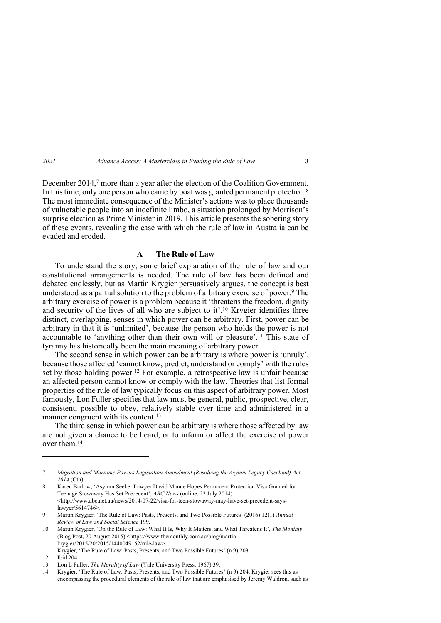December 2014, <sup>7</sup> more than a year after the election of the Coalition Government. In this time, only one person who came by boat was granted permanent protection.<sup>8</sup> The most immediate consequence of the Minister's actions was to place thousands of vulnerable people into an indefinite limbo, a situation prolonged by Morrison's surprise election as Prime Minister in 2019. This article presents the sobering story of these events, revealing the ease with which the rule of law in Australia can be evaded and eroded.

#### **A The Rule of Law**

To understand the story, some brief explanation of the rule of law and our constitutional arrangements is needed. The rule of law has been defined and debated endlessly, but as Martin Krygier persuasively argues, the concept is best understood as a partial solution to the problem of arbitrary exercise of power.<sup>9</sup> The arbitrary exercise of power is a problem because it 'threatens the freedom, dignity and security of the lives of all who are subject to it'. <sup>10</sup> Krygier identifies three distinct, overlapping, senses in which power can be arbitrary. First, power can be arbitrary in that it is 'unlimited', because the person who holds the power is not accountable to 'anything other than their own will or pleasure'. <sup>11</sup> This state of tyranny has historically been the main meaning of arbitrary power.

The second sense in which power can be arbitrary is where power is 'unruly', because those affected 'cannot know, predict, understand or comply' with the rules set by those holding power.<sup>12</sup> For example, a retrospective law is unfair because an affected person cannot know or comply with the law. Theories that list formal properties of the rule of law typically focus on this aspect of arbitrary power. Most famously, Lon Fuller specifies that law must be general, public, prospective, clear, consistent, possible to obey, relatively stable over time and administered in a manner congruent with its content.<sup>13</sup>

The third sense in which power can be arbitrary is where those affected by law are not given a chance to be heard, or to inform or affect the exercise of power over them.14

<sup>7</sup> *Migration and Maritime Powers Legislation Amendment (Resolving the Asylum Legacy Caseload) Act 2014* (Cth).

<sup>8</sup> Karen Barlow, 'Asylum Seeker Lawyer David Manne Hopes Permanent Protection Visa Granted for Teenage Stowaway Has Set Precedent', *ABC News* (online, 22 July 2014) <http://www.abc.net.au/news/2014-07-22/visa-for-teen-stowaway-may-have-set-precedent-sayslawyer/5614746>.

<sup>9</sup> Martin Krygier, 'The Rule of Law: Pasts, Presents, and Two Possible Futures' (2016) 12(1) *Annual Review of Law and Social Science* 199.

<sup>10</sup> Martin Krygier, 'On the Rule of Law: What It Is, Why It Matters, and What Threatens It', *The Monthly*  (Blog Post, 20 August 2015) <https://www.themonthly.com.au/blog/martinkrygier/2015/20/2015/1440049152/rule-law>.

<sup>11</sup> Krygier, 'The Rule of Law: Pasts, Presents, and Two Possible Futures' (n 9) 203.

<sup>12</sup> Ibid 204.

<sup>13</sup> Lon L Fuller, *The Morality of Law* (Yale University Press, 1967) 39.

<sup>14</sup> Krygier, 'The Rule of Law: Pasts, Presents, and Two Possible Futures' (n 9) 204. Krygier sees this as encompassing the procedural elements of the rule of law that are emphasised by Jeremy Waldron, such as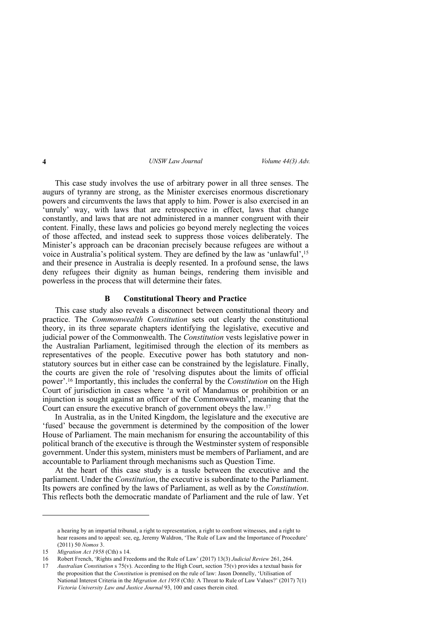This case study involves the use of arbitrary power in all three senses. The augurs of tyranny are strong, as the Minister exercises enormous discretionary powers and circumvents the laws that apply to him. Power is also exercised in an 'unruly' way, with laws that are retrospective in effect, laws that change constantly, and laws that are not administered in a manner congruent with their content. Finally, these laws and policies go beyond merely neglecting the voices of those affected, and instead seek to suppress those voices deliberately. The Minister's approach can be draconian precisely because refugees are without a voice in Australia's political system. They are defined by the law as 'unlawful',15 and their presence in Australia is deeply resented. In a profound sense, the laws deny refugees their dignity as human beings, rendering them invisible and powerless in the process that will determine their fates.

### **B Constitutional Theory and Practice**

This case study also reveals a disconnect between constitutional theory and practice. The *Commonwealth Constitution* sets out clearly the constitutional theory, in its three separate chapters identifying the legislative, executive and judicial power of the Commonwealth. The *Constitution* vests legislative power in the Australian Parliament, legitimised through the election of its members as representatives of the people. Executive power has both statutory and nonstatutory sources but in either case can be constrained by the legislature. Finally, the courts are given the role of 'resolving disputes about the limits of official power'. <sup>16</sup> Importantly, this includes the conferral by the *Constitution* on the High Court of jurisdiction in cases where 'a writ of Mandamus or prohibition or an injunction is sought against an officer of the Commonwealth', meaning that the Court can ensure the executive branch of government obeys the law. 17

In Australia, as in the United Kingdom, the legislature and the executive are 'fused' because the government is determined by the composition of the lower House of Parliament. The main mechanism for ensuring the accountability of this political branch of the executive is through the Westminster system of responsible government. Under this system, ministers must be members of Parliament, and are accountable to Parliament through mechanisms such as Question Time.

At the heart of this case study is a tussle between the executive and the parliament. Under the *Constitution*, the executive is subordinate to the Parliament. Its powers are confined by the laws of Parliament, as well as by the *Constitution*. This reflects both the democratic mandate of Parliament and the rule of law. Yet

a hearing by an impartial tribunal, a right to representation, a right to confront witnesses, and a right to hear reasons and to appeal: see, eg, Jeremy Waldron, 'The Rule of Law and the Importance of Procedure' (2011) 50 *Nomos* 3.

<sup>15</sup> *Migration Act 1958* (Cth) s 14.

<sup>16</sup> Robert French, 'Rights and Freedoms and the Rule of Law' (2017) 13(3) *Judicial Review* 261, 264.

<sup>17</sup> *Australian Constitution* s 75(v). According to the High Court, section 75(v) provides a textual basis for the proposition that the *Constitution* is premised on the rule of law: Jason Donnelly, 'Utilisation of National Interest Criteria in the *Migration Act 1958* (Cth): A Threat to Rule of Law Values?' (2017) 7(1) *Victoria University Law and Justice Journal* 93, 100 and cases therein cited.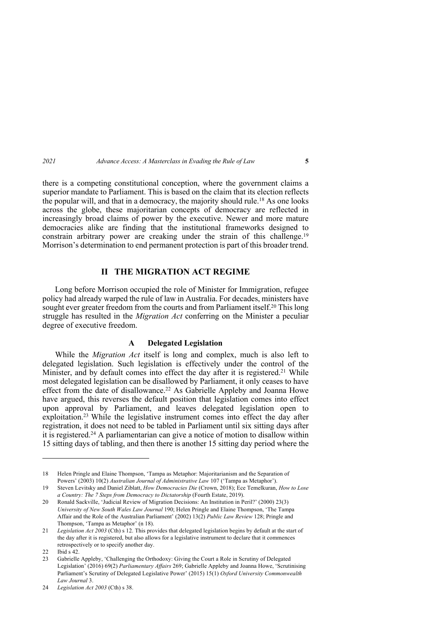there is a competing constitutional conception, where the government claims a superior mandate to Parliament. This is based on the claim that its election reflects the popular will, and that in a democracy, the majority should rule.18 As one looks across the globe, these majoritarian concepts of democracy are reflected in increasingly broad claims of power by the executive. Newer and more mature democracies alike are finding that the institutional frameworks designed to constrain arbitrary power are creaking under the strain of this challenge. 19 Morrison's determination to end permanent protection is part of this broader trend.

# **II THE MIGRATION ACT REGIME**

Long before Morrison occupied the role of Minister for Immigration, refugee policy had already warped the rule of law in Australia. For decades, ministers have sought ever greater freedom from the courts and from Parliament itself.20 This long struggle has resulted in the *Migration Act* conferring on the Minister a peculiar degree of executive freedom.

# **A Delegated Legislation**

While the *Migration Act* itself is long and complex, much is also left to delegated legislation. Such legislation is effectively under the control of the Minister, and by default comes into effect the day after it is registered. <sup>21</sup> While most delegated legislation can be disallowed by Parliament, it only ceases to have effect from the date of disallowance.22 As Gabrielle Appleby and Joanna Howe have argued, this reverses the default position that legislation comes into effect upon approval by Parliament, and leaves delegated legislation open to exploitation.23 While the legislative instrument comes into effect the day after registration, it does not need to be tabled in Parliament until six sitting days after it is registered.24 A parliamentarian can give a notice of motion to disallow within 15 sitting days of tabling, and then there is another 15 sitting day period where the

<sup>18</sup> Helen Pringle and Elaine Thompson, 'Tampa as Metaphor: Majoritarianism and the Separation of Powers' (2003) 10(2) *Australian Journal of Administrative Law* 107 ('Tampa as Metaphor').

<sup>19</sup> Steven Levitsky and Daniel Ziblatt, *How Democracies Die* (Crown, 2018); Ece Temelkuran, *How to Lose a Country: The 7 Steps from Democracy to Dictatorship* (Fourth Estate, 2019).

<sup>20</sup> Ronald Sackville, 'Judicial Review of Migration Decisions: An Institution in Peril?' (2000) 23(3) *University of New South Wales Law Journal* 190; Helen Pringle and Elaine Thompson, 'The Tampa Affair and the Role of the Australian Parliament' (2002) 13(2) *Public Law Review* 128; Pringle and Thompson, 'Tampa as Metaphor' (n 18).

<sup>21</sup> *Legislation Act 2003* (Cth) s 12. This provides that delegated legislation begins by default at the start of the day after it is registered, but also allows for a legislative instrument to declare that it commences retrospectively or to specify another day.

<sup>22</sup> Ibid s 42.

<sup>23</sup> Gabrielle Appleby, 'Challenging the Orthodoxy: Giving the Court a Role in Scrutiny of Delegated Legislation' (2016) 69(2) *Parliamentary Affairs* 269; Gabrielle Appleby and Joanna Howe, 'Scrutinising Parliament's Scrutiny of Delegated Legislative Power' (2015) 15(1) *Oxford University Commonwealth Law Journal* 3.

<sup>24</sup> *Legislation Act 2003* (Cth) s 38.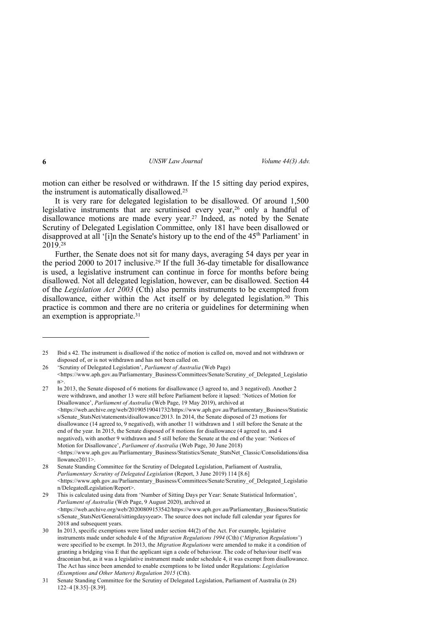motion can either be resolved or withdrawn. If the 15 sitting day period expires, the instrument is automatically disallowed.25

It is very rare for delegated legislation to be disallowed. Of around 1,500 legislative instruments that are scrutinised every year,<sup>26</sup> only a handful of disallowance motions are made every year. <sup>27</sup> Indeed, as noted by the Senate Scrutiny of Delegated Legislation Committee, only 181 have been disallowed or disapproved at all '[i]n the Senate's history up to the end of the  $45<sup>th</sup>$  Parliament' in 2019.28

Further, the Senate does not sit for many days, averaging 54 days per year in the period 2000 to 2017 inclusive. <sup>29</sup> If the full 36-day timetable for disallowance is used, a legislative instrument can continue in force for months before being disallowed. Not all delegated legislation, however, can be disallowed. Section 44 of the *Legislation Act 2003* (Cth) also permits instruments to be exempted from disallowance, either within the Act itself or by delegated legislation.30 This practice is common and there are no criteria or guidelines for determining when an exemption is appropriate.31

<sup>25</sup> Ibid s 42. The instrument is disallowed if the notice of motion is called on, moved and not withdrawn or disposed of, or is not withdrawn and has not been called on.

<sup>26</sup> 'Scrutiny of Delegated Legislation', *Parliament of Australia* (Web Page) <https://www.aph.gov.au/Parliamentary\_Business/Committees/Senate/Scrutiny\_of\_Delegated\_Legislatio n>.

<sup>27</sup> In 2013, the Senate disposed of 6 motions for disallowance (3 agreed to, and 3 negatived). Another 2 were withdrawn, and another 13 were still before Parliament before it lapsed: 'Notices of Motion for Disallowance', *Parliament of Australia* (Web Page, 19 May 2019), archived at <https://web.archive.org/web/20190519041732/https://www.aph.gov.au/Parliamentary\_Business/Statistic s/Senate\_StatsNet/statements/disallowance/2013. In 2014, the Senate disposed of 23 motions for disallowance (14 agreed to, 9 negatived), with another 11 withdrawn and 1 still before the Senate at the end of the year. In 2015, the Senate disposed of 8 motions for disallowance (4 agreed to, and 4 negatived), with another 9 withdrawn and 5 still before the Senate at the end of the year: 'Notices of Motion for Disallowance', *Parliament of Australia* (Web Page, 30 June 2018) <https://www.aph.gov.au/Parliamentary\_Business/Statistics/Senate\_StatsNet\_Classic/Consolidations/disa llowance2011>.

<sup>28</sup> Senate Standing Committee for the Scrutiny of Delegated Legislation, Parliament of Australia, *Parliamentary Scrutiny of Delegated Legislation* (Report, 3 June 2019) 114 [8.6] <https://www.aph.gov.au/Parliamentary\_Business/Committees/Senate/Scrutiny\_of\_Delegated\_Legislatio n/DelegatedLegislation/Report>.

<sup>29</sup> This is calculated using data from 'Number of Sitting Days per Year: Senate Statistical Information', *Parliament of Australia* (Web Page, 9 August 2020), archived at  $\langle$ https://web.archive.org/web/20200809153542/https://www.aph.gov.au/Parliamentary\_Business/Statistic s/Senate\_StatsNet/General/sittingdaysyear>. The source does not include full calendar year figures for 2018 and subsequent years.

<sup>30</sup> In 2013, specific exemptions were listed under section 44(2) of the Act. For example, legislative instruments made under schedule 4 of the *Migration Regulations 1994* (Cth) ('*Migration Regulations*') were specified to be exempt. In 2013, the *Migration Regulations* were amended to make it a condition of granting a bridging visa E that the applicant sign a code of behaviour. The code of behaviour itself was draconian but, as it was a legislative instrument made under schedule 4, it was exempt from disallowance. The Act has since been amended to enable exemptions to be listed under Regulations: *Legislation (Exemptions and Other Matters) Regulation 2015* (Cth).

<sup>31</sup> Senate Standing Committee for the Scrutiny of Delegated Legislation, Parliament of Australia (n 28) 122–4 [8.35]–[8.39].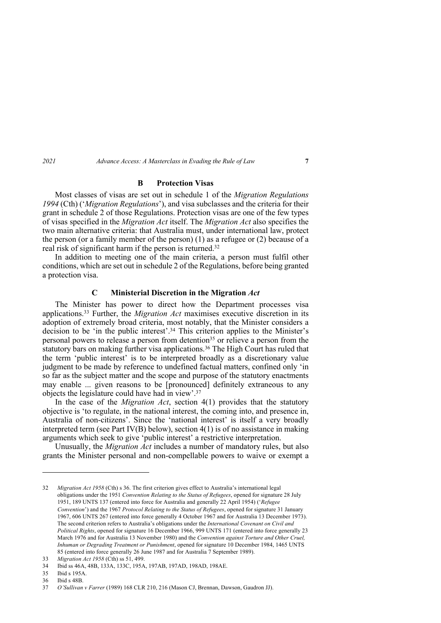# **B Protection Visas**

Most classes of visas are set out in schedule 1 of the *Migration Regulations 1994* (Cth) ('*Migration Regulations*'), and visa subclasses and the criteria for their grant in schedule 2 of those Regulations. Protection visas are one of the few types of visas specified in the *Migration Act* itself. The *Migration Act* also specifies the two main alternative criteria: that Australia must, under international law, protect the person (or a family member of the person) (1) as a refugee or (2) because of a real risk of significant harm if the person is returned. 32

In addition to meeting one of the main criteria, a person must fulfil other conditions, which are set out in schedule 2 of the Regulations, before being granted a protection visa.

# **C Ministerial Discretion in the Migration** *Act*

The Minister has power to direct how the Department processes visa applications.33 Further, the *Migration Act* maximises executive discretion in its adoption of extremely broad criteria, most notably, that the Minister considers a decision to be 'in the public interest'.34 This criterion applies to the Minister's personal powers to release a person from detention<sup>35</sup> or relieve a person from the statutory bars on making further visa applications.<sup>36</sup> The High Court has ruled that the term 'public interest' is to be interpreted broadly as a discretionary value judgment to be made by reference to undefined factual matters, confined only 'in so far as the subject matter and the scope and purpose of the statutory enactments may enable ... given reasons to be [pronounced] definitely extraneous to any objects the legislature could have had in view'. 37

In the case of the *Migration Act*, section 4(1) provides that the statutory objective is 'to regulate, in the national interest, the coming into, and presence in, Australia of non-citizens'. Since the 'national interest' is itself a very broadly interpreted term (see Part IV(B) below), section  $4(1)$  is of no assistance in making arguments which seek to give 'public interest' a restrictive interpretation.

Unusually, the *Migration Act* includes a number of mandatory rules, but also grants the Minister personal and non-compellable powers to waive or exempt a

<sup>32</sup> *Migration Act 1958* (Cth) s 36. The first criterion gives effect to Australia's international legal obligations under the 1951 *Convention Relating to the Status of Refugees*, opened for signature 28 July 1951, 189 UNTS 137 (entered into force for Australia and generally 22 April 1954) ('*Refugee Convention*') and the 1967 *Protocol Relating to the Status of Refugees*, opened for signature 31 January 1967, 606 UNTS 267 (entered into force generally 4 October 1967 and for Australia 13 December 1973). The second criterion refers to Australia's obligations under the *International Covenant on Civil and Political Rights*, opened for signature 16 December 1966, 999 UNTS 171 (entered into force generally 23 March 1976 and for Australia 13 November 1980) and the *Convention against Torture and Other Cruel, Inhuman or Degrading Treatment or Punishment*, opened for signature 10 December 1984, 1465 UNTS 85 (entered into force generally 26 June 1987 and for Australia 7 September 1989).

<sup>33</sup> *Migration Act 1958* (Cth) ss 51, 499.

<sup>34</sup> Ibid ss 46A, 48B, 133A, 133C, 195A, 197AB, 197AD, 198AD, 198AE.

<sup>35</sup> Ibid s 195A.

<sup>36</sup> Ibid s 48B.

<sup>37</sup> *O'Sullivan v Farrer* (1989) 168 CLR 210, 216 (Mason CJ, Brennan, Dawson, Gaudron JJ).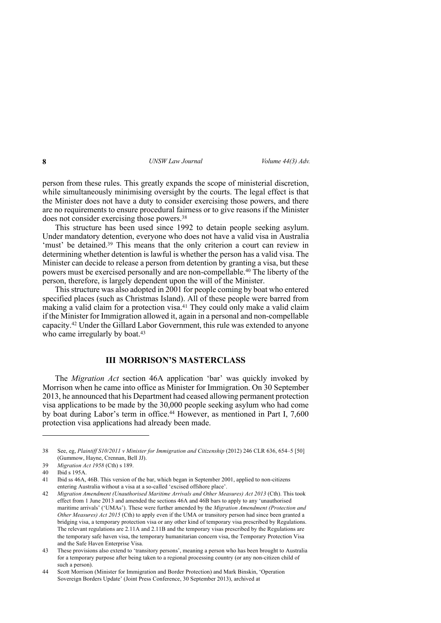person from these rules. This greatly expands the scope of ministerial discretion, while simultaneously minimising oversight by the courts. The legal effect is that the Minister does not have a duty to consider exercising those powers, and there are no requirements to ensure procedural fairness or to give reasons if the Minister does not consider exercising those powers.38

This structure has been used since 1992 to detain people seeking asylum. Under mandatory detention, everyone who does not have a valid visa in Australia 'must' be detained.39 This means that the only criterion a court can review in determining whether detention is lawful is whether the person has a valid visa. The Minister can decide to release a person from detention by granting a visa, but these powers must be exercised personally and are non-compellable.40 The liberty of the person, therefore, is largely dependent upon the will of the Minister.

This structure was also adopted in 2001 for people coming by boat who entered specified places (such as Christmas Island). All of these people were barred from making a valid claim for a protection visa.<sup>41</sup> They could only make a valid claim if the Minister for Immigration allowed it, again in a personal and non-compellable capacity.42 Under the Gillard Labor Government, this rule was extended to anyone who came irregularly by boat.<sup>43</sup>

# **III MORRISON'S MASTERCLASS**

The *Migration Act* section 46A application 'bar' was quickly invoked by Morrison when he came into office as Minister for Immigration. On 30 September 2013, he announced that his Department had ceased allowing permanent protection visa applications to be made by the 30,000 people seeking asylum who had come by boat during Labor's term in office. <sup>44</sup> However, as mentioned in Part I, 7,600 protection visa applications had already been made.

<sup>38</sup> See, eg, *Plaintiff S10/2011 v Minister for Immigration and Citizenship* (2012) 246 CLR 636, 654–5 [50] (Gummow, Hayne, Crennan, Bell JJ).

<sup>39</sup> *Migration Act 1958* (Cth) s 189.

<sup>40</sup> Ibid s 195A.

<sup>41</sup> Ibid ss 46A, 46B. This version of the bar, which began in September 2001, applied to non-citizens entering Australia without a visa at a so-called 'excised offshore place'.

<sup>42</sup> *Migration Amendment (Unauthorised Maritime Arrivals and Other Measures) Act 2013* (Cth). This took effect from 1 June 2013 and amended the sections 46A and 46B bars to apply to any 'unauthorised maritime arrivals' ('UMAs'). These were further amended by the *Migration Amendment (Protection and Other Measures) Act 2015* (Cth) to apply even if the UMA or transitory person had since been granted a bridging visa, a temporary protection visa or any other kind of temporary visa prescribed by Regulations. The relevant regulations are 2.11A and 2.11B and the temporary visas prescribed by the Regulations are the temporary safe haven visa, the temporary humanitarian concern visa, the Temporary Protection Visa and the Safe Haven Enterprise Visa.

<sup>43</sup> These provisions also extend to 'transitory persons', meaning a person who has been brought to Australia for a temporary purpose after being taken to a regional processing country (or any non-citizen child of such a person).

<sup>44</sup> Scott Morrison (Minister for Immigration and Border Protection) and Mark Binskin, 'Operation Sovereign Borders Update' (Joint Press Conference, 30 September 2013), archived at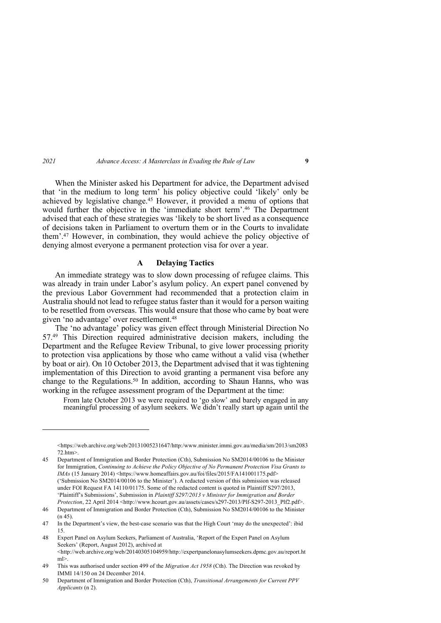When the Minister asked his Department for advice, the Department advised that 'in the medium to long term' his policy objective could 'likely' only be achieved by legislative change.45 However, it provided a menu of options that would further the objective in the 'immediate short term'. <sup>46</sup> The Department advised that each of these strategies was 'likely to be short lived as a consequence of decisions taken in Parliament to overturn them or in the Courts to invalidate them'. <sup>47</sup> However, in combination, they would achieve the policy objective of denying almost everyone a permanent protection visa for over a year.

# **A Delaying Tactics**

An immediate strategy was to slow down processing of refugee claims. This was already in train under Labor's asylum policy. An expert panel convened by the previous Labor Government had recommended that a protection claim in Australia should not lead to refugee status faster than it would for a person waiting to be resettled from overseas. This would ensure that those who came by boat were given 'no advantage' over resettlement.48

The 'no advantage' policy was given effect through Ministerial Direction No 57.49 This Direction required administrative decision makers, including the Department and the Refugee Review Tribunal, to give lower processing priority to protection visa applications by those who came without a valid visa (whether by boat or air). On 10 October 2013, the Department advised that it was tightening implementation of this Direction to avoid granting a permanent visa before any change to the Regulations. <sup>50</sup> In addition, according to Shaun Hanns, who was working in the refugee assessment program of the Department at the time:

From late October 2013 we were required to 'go slow' and barely engaged in any meaningful processing of asylum seekers. We didn't really start up again until the

 $\lt$ https://web.archive.org/web/20131005231647/http:/www.minister.immi.gov.au/media/sm/2013/sm2083 72.htm>.

<sup>45</sup> Department of Immigration and Border Protection (Cth), Submission No SM2014/00106 to the Minister for Immigration, *Continuing to Achieve the Policy Objective of No Permanent Protection Visa Grants to IMAs* (15 January 2014) <https://www.homeaffairs.gov.au/foi/files/2015/FA141001175.pdf> ('Submission No SM2014/00106 to the Minister'). A redacted version of this submission was released under FOI Request FA 14110/01175. Some of the redacted content is quoted in Plaintiff S297/2013, 'Plaintiff's Submissions', Submission in *Plaintiff S297/2013 v Minister for Immigration and Border Protection*, 22 April 2014 <http://www.hcourt.gov.au/assets/cases/s297-2013/Plf-S297-2013\_Plf2.pdf>.

<sup>46</sup> Department of Immigration and Border Protection (Cth), Submission No SM2014/00106 to the Minister  $(n 45)$ 

<sup>47</sup> In the Department's view, the best-case scenario was that the High Court 'may do the unexpected': ibid 15.

<sup>48</sup> Expert Panel on Asylum Seekers, Parliament of Australia, 'Report of the Expert Panel on Asylum Seekers' (Report, August 2012), archived at <http://web.archive.org/web/20140305104959/http://expertpanelonasylumseekers.dpmc.gov.au/report.ht  $m$  $>$ .

<sup>49</sup> This was authorised under section 499 of the *Migration Act 1958* (Cth). The Direction was revoked by IMMI 14/150 on 24 December 2014.

<sup>50</sup> Department of Immigration and Border Protection (Cth), *Transitional Arrangements for Current PPV Applicants* (n 2).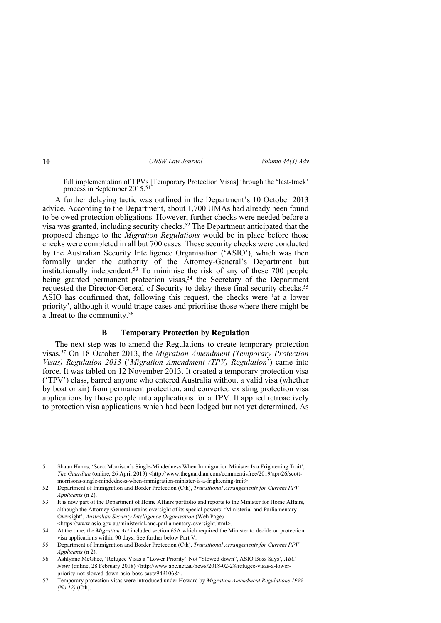full implementation of TPVs [Temporary Protection Visas] through the 'fast-track' process in September 2015.<sup>51</sup>

A further delaying tactic was outlined in the Department's 10 October 2013 advice. According to the Department, about 1,700 UMAs had already been found to be owed protection obligations. However, further checks were needed before a visa was granted, including security checks.52 The Department anticipated that the proposed change to the *Migration Regulations* would be in place before those checks were completed in all but 700 cases. These security checks were conducted by the Australian Security Intelligence Organisation ('ASIO'), which was then formally under the authority of the Attorney-General's Department but institutionally independent.53 To minimise the risk of any of these 700 people being granted permanent protection visas,<sup>54</sup> the Secretary of the Department requested the Director-General of Security to delay these final security checks.55 ASIO has confirmed that, following this request, the checks were 'at a lower priority', although it would triage cases and prioritise those where there might be a threat to the community.56

# **B Temporary Protection by Regulation**

The next step was to amend the Regulations to create temporary protection visas.57 On 18 October 2013, the *Migration Amendment (Temporary Protection Visas) Regulation 2013* ('*Migration Amendment (TPV) Regulation*') came into force. It was tabled on 12 November 2013. It created a temporary protection visa ('TPV') class, barred anyone who entered Australia without a valid visa (whether by boat or air) from permanent protection, and converted existing protection visa applications by those people into applications for a TPV. It applied retroactively to protection visa applications which had been lodged but not yet determined. As

<sup>51</sup> Shaun Hanns, 'Scott Morrison's Single-Mindedness When Immigration Minister Is a Frightening Trait', The Guardian (online, 26 April 2019) <http://www.theguardian.com/commentisfree/2019/apr/26/scottmorrisons-single-mindedness-when-immigration-minister-is-a-frightening-trait>.

<sup>52</sup> Department of Immigration and Border Protection (Cth), *Transitional Arrangements for Current PPV Applicants* (n 2).

<sup>53</sup> It is now part of the Department of Home Affairs portfolio and reports to the Minister for Home Affairs, although the Attorney-General retains oversight of its special powers: 'Ministerial and Parliamentary Oversight', *Australian Security Intelligence Organisation* (Web Page) <https://www.asio.gov.au/ministerial-and-parliamentary-oversight.html>.

<sup>54</sup> At the time, the *Migration Act* included section 65A which required the Minister to decide on protection visa applications within 90 days. See further below Part V.

<sup>55</sup> Department of Immigration and Border Protection (Cth), *Transitional Arrangements for Current PPV Applicants* (n 2).

<sup>56</sup> Ashlynne McGhee, 'Refugee Visas a "Lower Priority" Not "Slowed down", ASIO Boss Says', *ABC News* (online, 28 February 2018) <http://www.abc.net.au/news/2018-02-28/refugee-visas-a-lowerpriority-not-slowed-down-asio-boss-says/9491068>.

<sup>57</sup> Temporary protection visas were introduced under Howard by *Migration Amendment Regulations 1999 (No 12)* (Cth).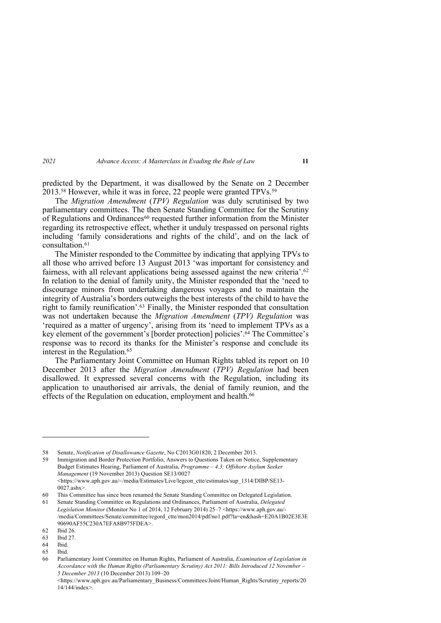predicted by the Department, it was disallowed by the Senate on 2 December 2013.<sup>58</sup> However, while it was in force, 22 people were granted TPVs.<sup>59</sup>

The *Migration Amendment* (*TPV) Regulation* was duly scrutinised by two parliamentary committees. The then Senate Standing Committee for the Scrutiny of Regulations and Ordinances $60$  requested further information from the Minister regarding its retrospective effect, whether it unduly trespassed on personal rights including 'family considerations and rights of the child', and on the lack of consultation.61

The Minister responded to the Committee by indicating that applying TPVs to all those who arrived before 13 August 2013 'was important for consistency and fairness, with all relevant applications being assessed against the new criteria'.<sup>62</sup> In relation to the denial of family unity, the Minister responded that the 'need to discourage minors from undertaking dangerous voyages and to maintain the integrity of Australia's borders outweighs the best interests of the child to have the right to family reunification'. <sup>63</sup> Finally, the Minister responded that consultation was not undertaken because the *Migration Amendment* (*TPV) Regulation* was 'required as a matter of urgency', arising from its 'need to implement TPVs as a key element of the government's [border protection] policies'. <sup>64</sup> The Committee's response was to record its thanks for the Minister's response and conclude its interest in the Regulation. 65

The Parliamentary Joint Committee on Human Rights tabled its report on 10 December 2013 after the *Migration Amendment* (*TPV) Regulation* had been disallowed. It expressed several concerns with the Regulation, including its application to unauthorised air arrivals, the denial of family reunion, and the effects of the Regulation on education, employment and health.<sup>66</sup>

<sup>58</sup> Senate, *Notification of Disallowance Gazette*, No C2013G01820, 2 December 2013.

<sup>59</sup> Immigration and Border Protection Portfolio, Answers to Questions Taken on Notice, Supplementary Budget Estimates Hearing, Parliament of Australia, *Programme – 4.3: Offshore Asylum Seeker Management* (19 November 2013) Question SE13/0027  $\lt$ https://www.aph.gov.au/~/media/Estimates/Live/legcon\_ctte/estimates/sup\_1314/DIBP/SE13-0027.ashx>.

<sup>60</sup> This Committee has since been renamed the Senate Standing Committee on Delegated Legislation.

<sup>61</sup> Senate Standing Committee on Regulations and Ordinances, Parliament of Australia, *Delegated Legislation Monitor* (Monitor No 1 of 2014, 12 February 2014) 25–7 <https://www.aph.gov.au/- /media/Committees/Senate/committee/regord\_ctte/mon2014/pdf/no1.pdf?la=en&hash=E20A1B02E3E3E 90690AF55C230A7EFA8B975FDEA>.

<sup>62</sup> Ibid 26.

<sup>63</sup> Ibid 27.

<sup>64</sup> Ibid.

<sup>65</sup> Ibid.

<sup>66</sup> Parliamentary Joint Committee on Human Rights, Parliament of Australia, *Examination of Legislation in Accordance with the Human Rights (Parliamentary Scrutiny) Act 2011: Bills Introduced 12 November – 5 December 2013* (10 December 2013) 109–20

<sup>&</sup>lt;https://www.aph.gov.au/Parliamentary\_Business/Committees/Joint/Human\_Rights/Scrutiny\_reports/20 14/144/index>.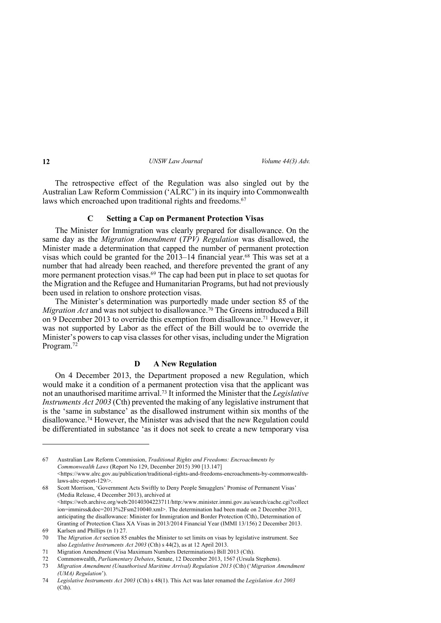The retrospective effect of the Regulation was also singled out by the Australian Law Reform Commission ('ALRC') in its inquiry into Commonwealth laws which encroached upon traditional rights and freedoms.<sup>67</sup>

# **C Setting a Cap on Permanent Protection Visas**

The Minister for Immigration was clearly prepared for disallowance. On the same day as the *Migration Amendment* (*TPV) Regulation* was disallowed, the Minister made a determination that capped the number of permanent protection visas which could be granted for the  $2013-14$  financial year.<sup>68</sup> This was set at a number that had already been reached, and therefore prevented the grant of any more permanent protection visas.<sup>69</sup> The cap had been put in place to set quotas for the Migration and the Refugee and Humanitarian Programs, but had not previously been used in relation to onshore protection visas.

The Minister's determination was purportedly made under section 85 of the *Migration Act* and was not subject to disallowance. <sup>70</sup> The Greens introduced a Bill on 9 December 2013 to override this exemption from disallowance. <sup>71</sup> However, it was not supported by Labor as the effect of the Bill would be to override the Minister's powers to cap visa classes for other visas, including under the Migration Program. 72

# **D A New Regulation**

On 4 December 2013, the Department proposed a new Regulation, which would make it a condition of a permanent protection visa that the applicant was not an unauthorised maritime arrival. <sup>73</sup> It informed the Minister that the *Legislative Instruments Act 2003* (Cth) prevented the making of any legislative instrument that is the 'same in substance' as the disallowed instrument within six months of the disallowance.74 However, the Minister was advised that the new Regulation could be differentiated in substance 'as it does not seek to create a new temporary visa

67 Australian Law Reform Commission, *Traditional Rights and Freedoms: Encroachments by Commonwealth Laws* (Report No 129, December 2015) 390 [13.147]  $\lt$ https://www.alrc.gov.au/publication/traditional-rights-and-freedoms-encroachments-by-commonwealthlaws-alrc-report-129/>.

<sup>68</sup> Scott Morrison, 'Government Acts Swiftly to Deny People Smugglers' Promise of Permanent Visas' (Media Release, 4 December 2013), archived at <https://web.archive.org/web/20140304223711/http:/www.minister.immi.gov.au/search/cache.cgi?collect ion=immirss&doc=2013%2Fsm210040.xml>. The determination had been made on 2 December 2013, anticipating the disallowance: Minister for Immigration and Border Protection (Cth), Determination of Granting of Protection Class XA Visas in 2013/2014 Financial Year (IMMI 13/156) 2 December 2013.

<sup>69</sup> Karlsen and Phillips (n 1) 27.

<sup>70</sup> The *Migration Act* section 85 enables the Minister to set limits on visas by legislative instrument. See also *Legislative Instruments Act 2003* (Cth) s 44(2), as at 12 April 2013.

<sup>71</sup> Migration Amendment (Visa Maximum Numbers Determinations) Bill 2013 (Cth).

<sup>72</sup> Commonwealth, *Parliamentary Debates*, Senate, 12 December 2013, 1567 (Ursula Stephens).

<sup>73</sup> *Migration Amendment (Unauthorised Maritime Arrival) Regulation 2013* (Cth) ('*Migration Amendment (UMA) Regulation*').

<sup>74</sup> *Legislative Instruments Act 2003* (Cth) s 48(1). This Act was later renamed the *Legislation Act 2003*  (Cth).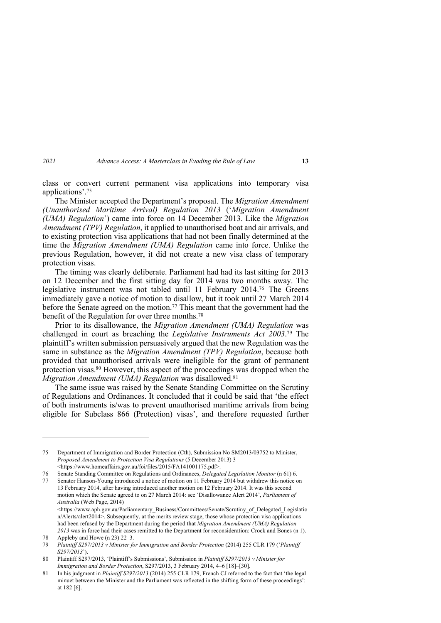class or convert current permanent visa applications into temporary visa applications'. 75

The Minister accepted the Department's proposal. The *Migration Amendment (Unauthorised Maritime Arrival) Regulation 2013* ('*Migration Amendment (UMA) Regulation*') came into force on 14 December 2013. Like the *Migration Amendment (TPV) Regulation*, it applied to unauthorised boat and air arrivals, and to existing protection visa applications that had not been finally determined at the time the *Migration Amendment (UMA) Regulation* came into force. Unlike the previous Regulation, however, it did not create a new visa class of temporary protection visas.

The timing was clearly deliberate. Parliament had had its last sitting for 2013 on 12 December and the first sitting day for 2014 was two months away. The legislative instrument was not tabled until 11 February 2014. <sup>76</sup> The Greens immediately gave a notice of motion to disallow, but it took until 27 March 2014 before the Senate agreed on the motion.77 This meant that the government had the benefit of the Regulation for over three months. 78

Prior to its disallowance, the *Migration Amendment (UMA) Regulation* was challenged in court as breaching the *Legislative Instruments Act 2003*. <sup>79</sup> The plaintiff's written submission persuasively argued that the new Regulation was the same in substance as the *Migration Amendment (TPV) Regulation*, because both provided that unauthorised arrivals were ineligible for the grant of permanent protection visas.80 However, this aspect of the proceedings was dropped when the *Migration Amendment (UMA) Regulation* was disallowed.<sup>81</sup>

The same issue was raised by the Senate Standing Committee on the Scrutiny of Regulations and Ordinances. It concluded that it could be said that 'the effect of both instruments is/was to prevent unauthorised maritime arrivals from being eligible for Subclass 866 (Protection) visas', and therefore requested further

75 Department of Immigration and Border Protection (Cth), Submission No SM2013/03752 to Minister, *Proposed Amendment to Protection Visa Regulations* (5 December 2013) 3 <https://www.homeaffairs.gov.au/foi/files/2015/FA141001175.pdf>.

<sup>76</sup> Senate Standing Committee on Regulations and Ordinances, *Delegated Legislation Monitor* (n 61) 6.

<sup>77</sup> Senator Hanson-Young introduced a notice of motion on 11 February 2014 but withdrew this notice on 13 February 2014, after having introduced another motion on 12 February 2014. It was this second motion which the Senate agreed to on 27 March 2014: see 'Disallowance Alert 2014', *Parliament of Australia* (Web Page, 2014) <https://www.aph.gov.au/Parliamentary\_Business/Committees/Senate/Scrutiny\_of\_Delegated\_Legislatio n/Alerts/alert2014>. Subsequently, at the merits review stage, those whose protection visa applications had been refused by the Department during the period that *Migration Amendment (UMA) Regulation* 

*<sup>2013</sup>* was in force had their cases remitted to the Department for reconsideration: Crock and Bones (n 1). 78 Appleby and Howe (n 23) 22–3.

<sup>79</sup> *Plaintiff S297/2013 v Minister for Immigration and Border Protection* (2014) 255 CLR 179 ('*Plaintiff S297/2013*').

<sup>80</sup> Plaintiff S297/2013, 'Plaintiff's Submissions', Submission in *Plaintiff S297/2013 v Minister for Immigration and Border Protection*, S297/2013, 3 February 2014, 4–6 [18]–[30].

<sup>81</sup> In his judgment in *Plaintiff S297/2013* (2014) 255 CLR 179, French CJ referred to the fact that 'the legal minuet between the Minister and the Parliament was reflected in the shifting form of these proceedings': at 182 [6].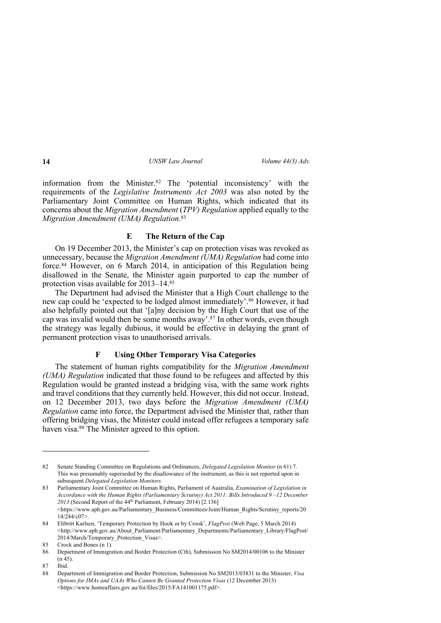information from the Minister.82 The 'potential inconsistency' with the requirements of the *Legislative Instruments Act 2003* was also noted by the Parliamentary Joint Committee on Human Rights, which indicated that its concerns about the *Migration Amendment* (*TPV) Regulation* applied equally to the *Migration Amendment (UMA) Regulation*. 83

# **E The Return of the Cap**

On 19 December 2013, the Minister's cap on protection visas was revoked as unnecessary, because the *Migration Amendment (UMA) Regulation* had come into force. <sup>84</sup> However, on 6 March 2014, in anticipation of this Regulation being disallowed in the Senate, the Minister again purported to cap the number of protection visas available for 2013–14.85

The Department had advised the Minister that a High Court challenge to the new cap could be 'expected to be lodged almost immediately'. <sup>86</sup> However, it had also helpfully pointed out that '[a]ny decision by the High Court that use of the cap was invalid would then be some months away'.87 In other words, even though the strategy was legally dubious, it would be effective in delaying the grant of permanent protection visas to unauthorised arrivals.

# **F Using Other Temporary Visa Categories**

The statement of human rights compatibility for the *Migration Amendment (UMA) Regulation* indicated that those found to be refugees and affected by this Regulation would be granted instead a bridging visa, with the same work rights and travel conditions that they currently held. However, this did not occur. Instead, on 12 December 2013, two days before the *Migration Amendment (UMA) Regulation* came into force, the Department advised the Minister that, rather than offering bridging visas, the Minister could instead offer refugees a temporary safe haven visa.88 The Minister agreed to this option.

<sup>82</sup> Senate Standing Committee on Regulations and Ordinances, *Delegated Legislation Monitor* (n 61) 7. This was presumably superseded by the disallowance of the instrument, as this is not reported upon in subsequent *Delegated Legislation Monitors.*

<sup>83</sup> Parliamentary Joint Committee on Human Rights, Parliament of Australia, *Examination of Legislation in Accordance with the Human Rights (Parliamentary Scrutiny) Act 2011: Bills Introduced 9 –12 December*  2013 (Second Report of the 44<sup>th</sup> Parliament, February 2014) [2.136]  $\lt$ https://www.aph.gov.au/Parliamentary\_Business/Committees/Joint/Human\_Rights/Scrutiny\_reports/20 14/244/c07>.

<sup>84</sup> Elibritt Karlsen, 'Temporary Protection by Hook or by Crook', *FlagPost* (Web Page, 5 March 2014) <http://www.aph.gov.au/About\_Parliament/Parliamentary\_Departments/Parliamentary\_Library/FlagPost/ 2014/March/Temporary\_Protection\_Visas>.

<sup>85</sup> Crock and Bones (n 1).

<sup>86</sup> Department of Immigration and Border Protection (Cth), Submission No SM2014/00106 to the Minister (n 45).

<sup>87</sup> Ibid.

<sup>88</sup> Department of Immigration and Border Protection, Submission No SM2013/03831 to the Minister, *Visa Options for IMAs and UAAs Who Cannot Be Granted Protection Visas* (12 December 2013) <https://www.homeaffairs.gov.au/foi/files/2015/FA141001175.pdf>.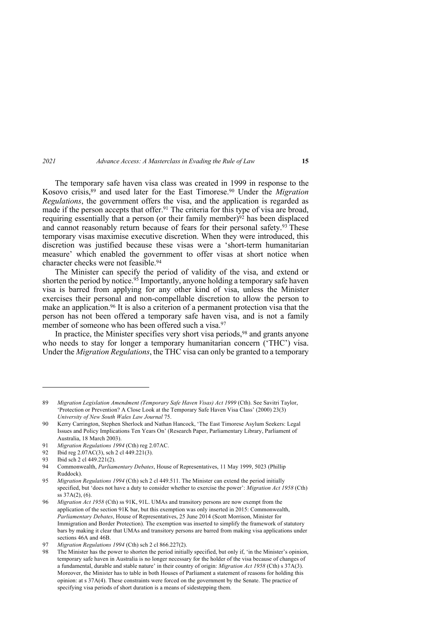The temporary safe haven visa class was created in 1999 in response to the Kosovo crisis,89 and used later for the East Timorese.90 Under the *Migration Regulations*, the government offers the visa, and the application is regarded as made if the person accepts that offer.<sup>91</sup> The criteria for this type of visa are broad, requiring essentially that a person (or their family member) $\frac{92}{2}$  has been displaced and cannot reasonably return because of fears for their personal safety.<sup>93</sup> These temporary visas maximise executive discretion. When they were introduced, this discretion was justified because these visas were a 'short-term humanitarian measure' which enabled the government to offer visas at short notice when character checks were not feasible.94

The Minister can specify the period of validity of the visa, and extend or shorten the period by notice.<sup>95</sup> Importantly, anyone holding a temporary safe haven visa is barred from applying for any other kind of visa, unless the Minister exercises their personal and non-compellable discretion to allow the person to make an application.96 It is also a criterion of a permanent protection visa that the person has not been offered a temporary safe haven visa, and is not a family member of someone who has been offered such a visa.<sup>97</sup>

In practice, the Minister specifies very short visa periods, <sup>98</sup> and grants anyone who needs to stay for longer a temporary humanitarian concern ('THC') visa. Under the *Migration Regulations*, the THC visa can only be granted to a temporary

92 Ibid reg 2.07AC(3), sch 2 cl 449.221(3).

<sup>89</sup> *Migration Legislation Amendment (Temporary Safe Haven Visas) Act 1999* (Cth). See Savitri Taylor, 'Protection or Prevention? A Close Look at the Temporary Safe Haven Visa Class' (2000) 23(3) *University of New South Wales Law Journal* 75.

<sup>90</sup> Kerry Carrington, Stephen Sherlock and Nathan Hancock, 'The East Timorese Asylum Seekers: Legal Issues and Policy Implications Ten Years On' (Research Paper, Parliamentary Library, Parliament of Australia, 18 March 2003).

<sup>91</sup> *Migration Regulations 1994* (Cth) reg 2.07AC.

<sup>93</sup> Ibid sch 2 cl 449.221(2).

<sup>94</sup> Commonwealth, *Parliamentary Debates*, House of Representatives, 11 May 1999, 5023 (Phillip Ruddock).

<sup>95</sup> *Migration Regulations 1994* (Cth) sch 2 cl 449.511. The Minister can extend the period initially specified, but 'does not have a duty to consider whether to exercise the power': *Migration Act 1958* (Cth) ss 37A(2), (6).

<sup>96</sup> *Migration Act 1958* (Cth) ss 91K, 91L. UMAs and transitory persons are now exempt from the application of the section 91K bar, but this exemption was only inserted in 2015: Commonwealth, *Parliamentary Debates*, House of Representatives, 25 June 2014 (Scott Morrison, Minister for Immigration and Border Protection). The exemption was inserted to simplify the framework of statutory bars by making it clear that UMAs and transitory persons are barred from making visa applications under sections 46A and 46B.

<sup>97</sup> *Migration Regulations 1994* (Cth) sch 2 cl 866.227(2).

<sup>98</sup> The Minister has the power to shorten the period initially specified, but only if, 'in the Minister's opinion, temporary safe haven in Australia is no longer necessary for the holder of the visa because of changes of a fundamental, durable and stable nature' in their country of origin: *Migration Act 1958* (Cth) s 37A(3). Moreover, the Minister has to table in both Houses of Parliament a statement of reasons for holding this opinion: at s 37A(4). These constraints were forced on the government by the Senate. The practice of specifying visa periods of short duration is a means of sidestepping them.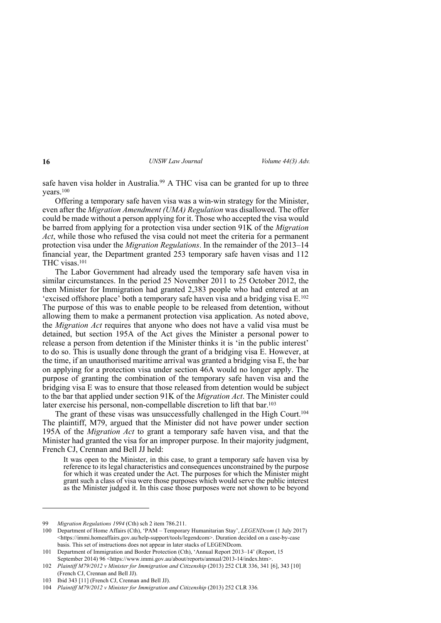safe haven visa holder in Australia.<sup>99</sup> A THC visa can be granted for up to three years.100

Offering a temporary safe haven visa was a win-win strategy for the Minister, even after the *Migration Amendment (UMA) Regulation* was disallowed. The offer could be made without a person applying for it. Those who accepted the visa would be barred from applying for a protection visa under section 91K of the *Migration Act*, while those who refused the visa could not meet the criteria for a permanent protection visa under the *Migration Regulations*. In the remainder of the 2013–14 financial year, the Department granted 253 temporary safe haven visas and 112 THC visas.101

The Labor Government had already used the temporary safe haven visa in similar circumstances. In the period 25 November 2011 to 25 October 2012, the then Minister for Immigration had granted 2,383 people who had entered at an 'excised offshore place' both a temporary safe haven visa and a bridging visa E.102 The purpose of this was to enable people to be released from detention, without allowing them to make a permanent protection visa application. As noted above, the *Migration Act* requires that anyone who does not have a valid visa must be detained, but section 195A of the Act gives the Minister a personal power to release a person from detention if the Minister thinks it is 'in the public interest' to do so. This is usually done through the grant of a bridging visa E. However, at the time, if an unauthorised maritime arrival was granted a bridging visa E, the bar on applying for a protection visa under section 46A would no longer apply. The purpose of granting the combination of the temporary safe haven visa and the bridging visa E was to ensure that those released from detention would be subject to the bar that applied under section 91K of the *Migration Act*. The Minister could later exercise his personal, non-compellable discretion to lift that bar.<sup>103</sup>

The grant of these visas was unsuccessfully challenged in the High Court.<sup>104</sup> The plaintiff, M79, argued that the Minister did not have power under section 195A of the *Migration Act* to grant a temporary safe haven visa, and that the Minister had granted the visa for an improper purpose. In their majority judgment, French CJ, Crennan and Bell JJ held:

It was open to the Minister, in this case, to grant a temporary safe haven visa by reference to its legal characteristics and consequences unconstrained by the purpose for which it was created under the Act. The purposes for which the Minister might grant such a class of visa were those purposes which would serve the public interest as the Minister judged it. In this case those purposes were not shown to be beyond

<sup>99</sup> *Migration Regulations 1994* (Cth) sch 2 item 786.211.

<sup>100</sup> Department of Home Affairs (Cth), 'PAM – Temporary Humanitarian Stay', *LEGENDcom* (1 July 2017) <https://immi.homeaffairs.gov.au/help-support/tools/legendcom>. Duration decided on a case-by-case basis. This set of instructions does not appear in later stacks of LEGENDcom.

<sup>101</sup> Department of Immigration and Border Protection (Cth), 'Annual Report 2013–14' (Report, 15 September 2014) 96 <https://www.immi.gov.au/about/reports/annual/2013-14/index.htm>.

<sup>102</sup> *Plaintiff M79/2012 v Minister for Immigration and Citizenship* (2013) 252 CLR 336, 341 [6], 343 [10] (French CJ, Crennan and Bell JJ).

<sup>103</sup> Ibid 343 [11] (French CJ, Crennan and Bell JJ).

<sup>104</sup> *Plaintiff M79/2012 v Minister for Immigration and Citizenship* (2013) 252 CLR 336*.*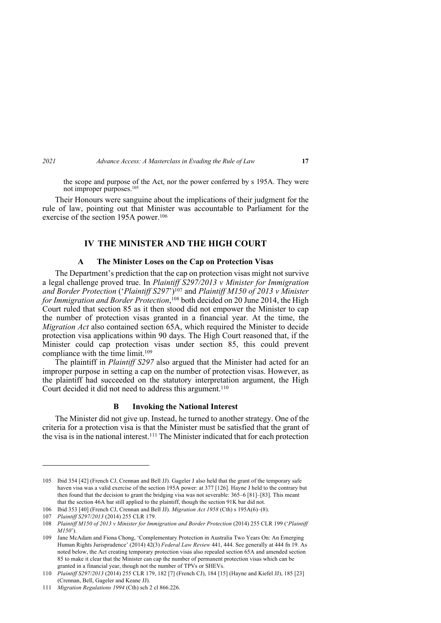the scope and purpose of the Act, nor the power conferred by s 195A. They were not improper purposes.105

Their Honours were sanguine about the implications of their judgment for the rule of law, pointing out that Minister was accountable to Parliament for the exercise of the section 195A power.<sup>106</sup>

# **IV THE MINISTER AND THE HIGH COURT**

# **A The Minister Loses on the Cap on Protection Visas**

The Department's prediction that the cap on protection visas might not survive a legal challenge proved true. In *Plaintiff S297/2013 v Minister for Immigration and Border Protection* ('*Plaintiff S297*')107 and *Plaintiff M150 of 2013 v Minister for Immigration and Border Protection*, <sup>108</sup> both decided on 20 June 2014, the High Court ruled that section 85 as it then stood did not empower the Minister to cap the number of protection visas granted in a financial year. At the time, the *Migration Act* also contained section 65A, which required the Minister to decide protection visa applications within 90 days. The High Court reasoned that, if the Minister could cap protection visas under section 85, this could prevent compliance with the time limit.109

The plaintiff in *Plaintiff S297* also argued that the Minister had acted for an improper purpose in setting a cap on the number of protection visas. However, as the plaintiff had succeeded on the statutory interpretation argument, the High Court decided it did not need to address this argument. 110

# **B Invoking the National Interest**

The Minister did not give up. Instead, he turned to another strategy. One of the criteria for a protection visa is that the Minister must be satisfied that the grant of the visa is in the national interest.<sup>111</sup> The Minister indicated that for each protection

<sup>105</sup> Ibid 354 [42] (French CJ, Crennan and Bell JJ). Gageler J also held that the grant of the temporary safe haven visa was a valid exercise of the section 195A power: at 377 [126]. Hayne J held to the contrary but then found that the decision to grant the bridging visa was not severable: 365–6 [81]–[83]. This meant that the section 46A bar still applied to the plaintiff, though the section 91K bar did not.

<sup>106</sup> Ibid 353 [40] (French CJ, Crennan and Bell JJ). *Migration Act 1958* (Cth) s 195A(6)–(8).

<sup>107</sup> *Plaintiff S297/2013* (2014) 255 CLR 179.

<sup>108</sup> *Plaintiff M150 of 2013 v Minister for Immigration and Border Protection* (2014) 255 CLR 199 ('*Plaintiff M150*').

<sup>109</sup> Jane McAdam and Fiona Chong, 'Complementary Protection in Australia Two Years On: An Emerging Human Rights Jurisprudence' (2014) 42(3) *Federal Law Review* 441, 444. See generally at 444 fn 19. As noted below, the Act creating temporary protection visas also repealed section 65A and amended section 85 to make it clear that the Minister can cap the number of permanent protection visas which can be granted in a financial year, though not the number of TPVs or SHEVs.

<sup>110</sup> *Plaintiff S297/2013* (2014) 255 CLR 179, 182 [7] (French CJ), 184 [15] (Hayne and Kiefel JJ), 185 [23] (Crennan, Bell, Gageler and Keane JJ).

<sup>111</sup> *Migration Regulations 1994* (Cth) sch 2 cl 866.226.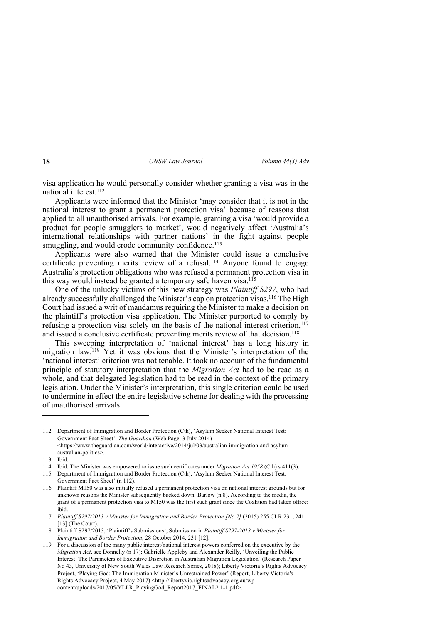visa application he would personally consider whether granting a visa was in the national interest.<sup>112</sup>

Applicants were informed that the Minister 'may consider that it is not in the national interest to grant a permanent protection visa' because of reasons that applied to all unauthorised arrivals. For example, granting a visa 'would provide a product for people smugglers to market', would negatively affect 'Australia's international relationships with partner nations' in the fight against people smuggling, and would erode community confidence.<sup>113</sup>

Applicants were also warned that the Minister could issue a conclusive certificate preventing merits review of a refusal.114 Anyone found to engage Australia's protection obligations who was refused a permanent protection visa in this way would instead be granted a temporary safe haven visa.115

One of the unlucky victims of this new strategy was *Plaintiff S297*, who had already successfully challenged the Minister's cap on protection visas. <sup>116</sup> The High Court had issued a writ of mandamus requiring the Minister to make a decision on the plaintiff's protection visa application. The Minister purported to comply by refusing a protection visa solely on the basis of the national interest criterion, 117 and issued a conclusive certificate preventing merits review of that decision.<sup>118</sup>

This sweeping interpretation of 'national interest' has a long history in migration law.119 Yet it was obvious that the Minister's interpretation of the 'national interest' criterion was not tenable. It took no account of the fundamental principle of statutory interpretation that the *Migration Act* had to be read as a whole, and that delegated legislation had to be read in the context of the primary legislation. Under the Minister's interpretation, this single criterion could be used to undermine in effect the entire legislative scheme for dealing with the processing of unauthorised arrivals.

<sup>112</sup> Department of Immigration and Border Protection (Cth), 'Asylum Seeker National Interest Test: Government Fact Sheet', *The Guardian* (Web Page, 3 July 2014)  $\lt$ https://www.theguardian.com/world/interactive/2014/jul/03/australian-immigration-and-asylumaustralian-politics>.

<sup>113</sup> Ibid.

<sup>114</sup> Ibid. The Minister was empowered to issue such certificates under *Migration Act 1958* (Cth) s 411(3).

<sup>115</sup> Department of Immigration and Border Protection (Cth), 'Asylum Seeker National Interest Test: Government Fact Sheet' (n 112).

<sup>116</sup> Plaintiff M150 was also initially refused a permanent protection visa on national interest grounds but for unknown reasons the Minister subsequently backed down: Barlow (n 8). According to the media, the grant of a permanent protection visa to M150 was the first such grant since the Coalition had taken office: ibid.

<sup>117</sup> *Plaintiff S297/2013 v Minister for Immigration and Border Protection [No 2]* (2015) 255 CLR 231, 241 [13] (The Court).

<sup>118</sup> Plaintiff S297/2013, 'Plaintiff's Submissions', Submission in *Plaintiff S297-2013 v Minister for Immigration and Border Protection*, 28 October 2014, 231 [12].

<sup>119</sup> For a discussion of the many public interest/national interest powers conferred on the executive by the *Migration Act*, see Donnelly (n 17); Gabrielle Appleby and Alexander Reilly, 'Unveiling the Public Interest: The Parameters of Executive Discretion in Australian Migration Legislation' (Research Paper No 43, University of New South Wales Law Research Series, 2018); Liberty Victoria's Rights Advocacy Project, 'Playing God: The Immigration Minister's Unrestrained Power' (Report, Liberty Victoria's Rights Advocacy Project, 4 May 2017) <http://libertyvic.rightsadvocacy.org.au/wpcontent/uploads/2017/05/YLLR\_PlayingGod\_Report2017\_FINAL2.1-1.pdf>.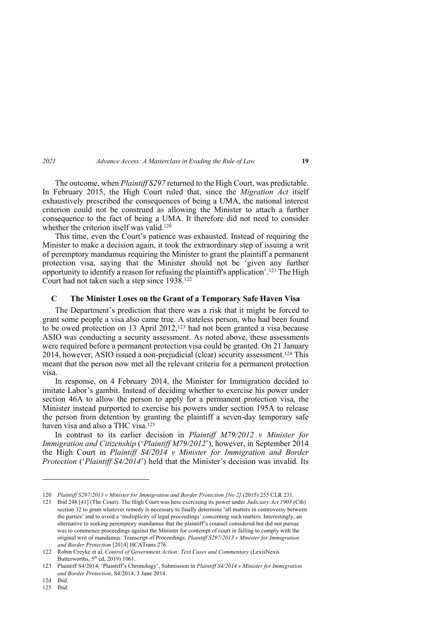The outcome, when *Plaintiff S297* returned to the High Court, was predictable. In February 2015, the High Court ruled that, since the *Migration Act* itself exhaustively prescribed the consequences of being a UMA, the national interest criterion could not be construed as allowing the Minister to attach a further consequence to the fact of being a UMA. It therefore did not need to consider whether the criterion itself was valid.<sup>120</sup>

This time, even the Court's patience was exhausted. Instead of requiring the Minister to make a decision again, it took the extraordinary step of issuing a writ of peremptory mandamus requiring the Minister to grant the plaintiff a permanent protection visa, saying that the Minister should not be 'given any further opportunity to identify a reason for refusing the plaintiff's application'. <sup>121</sup> The High Court had not taken such a step since 1938.122

# **C The Minister Loses on the Grant of a Temporary Safe Haven Visa**

The Department's prediction that there was a risk that it might be forced to grant some people a visa also came true. A stateless person, who had been found to be owed protection on 13 April 2012,<sup>123</sup> had not been granted a visa because ASIO was conducting a security assessment. As noted above, these assessments were required before a permanent protection visa could be granted. On 21 January 2014, however, ASIO issued a non-prejudicial (clear) security assessment. <sup>124</sup> This meant that the person now met all the relevant criteria for a permanent protection visa.

In response, on 4 February 2014, the Minister for Immigration decided to imitate Labor's gambit. Instead of deciding whether to exercise his power under section 46A to allow the person to apply for a permanent protection visa, the Minister instead purported to exercise his powers under section 195A to release the person from detention by granting the plaintiff a seven-day temporary safe haven visa and also a THC visa.125

In contrast to its earlier decision in *Plaintiff M79/2012 v Minister for Immigration and Citizenship* ('*Plaintiff M79/2012*'), however, in September 2014 the High Court in *Plaintiff S4/2014 v Minister for Immigration and Border Protection* ('*Plaintiff S4/2014*') held that the Minister's decision was invalid. Its

125 Ibid.

<sup>120</sup> *Plaintiff S297/2013 v Minister for Immigration and Border Protection [No 2]* (2015) 255 CLR 231.

<sup>121</sup> Ibid 248 [41] (The Court). The High Court was here exercising its power under *Judiciary Act 1903* (Cth) section 32 to grant whatever remedy is necessary to finally determine 'all matters in controversy between the parties' and to avoid a 'multiplicity of legal proceedings' concerning such matters. Interestingly, an alternative to seeking peremptory mandamus that the plaintiff's counsel considered but did not pursue was to commence proceedings against the Minister for contempt of court in failing to comply with the original writ of mandamus: Transcript of Proceedings, *Plaintiff S297/2013 v Minister for Immigration and Border Protection* [2014] HCATrans 276.

<sup>122</sup> Robin Creyke et al, *Control of Government Action: Text Cases and Commentary* (LexisNexis Butterworths,  $5<sup>th</sup>$  ed, 2019) 1061.

<sup>123</sup> Plaintiff S4/2014, 'Plaintiff's Chronology', Submission in *Plaintiff S4/2014 v Minister for Immigration and Border Protection*, S4/2014, 3 June 2014.

<sup>124</sup> Ibid.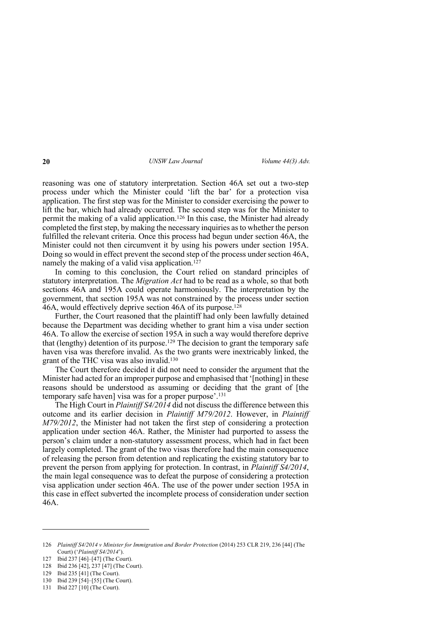reasoning was one of statutory interpretation. Section 46A set out a two-step process under which the Minister could 'lift the bar' for a protection visa application. The first step was for the Minister to consider exercising the power to lift the bar, which had already occurred. The second step was for the Minister to permit the making of a valid application.126 In this case, the Minister had already completed the first step, by making the necessary inquiries as to whether the person fulfilled the relevant criteria. Once this process had begun under section 46A, the Minister could not then circumvent it by using his powers under section 195A. Doing so would in effect prevent the second step of the process under section 46A, namely the making of a valid visa application.<sup>127</sup>

In coming to this conclusion, the Court relied on standard principles of statutory interpretation. The *Migration Act* had to be read as a whole, so that both sections 46A and 195A could operate harmoniously. The interpretation by the government, that section 195A was not constrained by the process under section 46A, would effectively deprive section 46A of its purpose.<sup>128</sup>

Further, the Court reasoned that the plaintiff had only been lawfully detained because the Department was deciding whether to grant him a visa under section 46A. To allow the exercise of section 195A in such a way would therefore deprive that (lengthy) detention of its purpose.<sup>129</sup> The decision to grant the temporary safe haven visa was therefore invalid. As the two grants were inextricably linked, the grant of the THC visa was also invalid.130

The Court therefore decided it did not need to consider the argument that the Minister had acted for an improper purpose and emphasised that '[nothing] in these reasons should be understood as assuming or deciding that the grant of [the temporary safe haven] visa was for a proper purpose'.131

The High Court in *Plaintiff S4/2014* did not discuss the difference between this outcome and its earlier decision in *Plaintiff M79/2012*. However, in *Plaintiff M79/2012*, the Minister had not taken the first step of considering a protection application under section 46A. Rather, the Minister had purported to assess the person's claim under a non-statutory assessment process, which had in fact been largely completed. The grant of the two visas therefore had the main consequence of releasing the person from detention and replicating the existing statutory bar to prevent the person from applying for protection. In contrast, in *Plaintiff S4/2014*, the main legal consequence was to defeat the purpose of considering a protection visa application under section 46A. The use of the power under section 195A in this case in effect subverted the incomplete process of consideration under section 46A.

<sup>126</sup> *Plaintiff S4/2014 v Minister for Immigration and Border Protection* (2014) 253 CLR 219, 236 [44] (The Court) ('*Plaintiff S4/2014*').

<sup>127</sup> Ibid 237 [46]-[47] (The Court).

<sup>128</sup> Ibid 236 [42], 237 [47] (The Court).

<sup>129</sup> Ibid 235 [41] (The Court).

<sup>130</sup> Ibid 239 [54]–[55] (The Court).

<sup>131</sup> Ibid 227 [10] (The Court).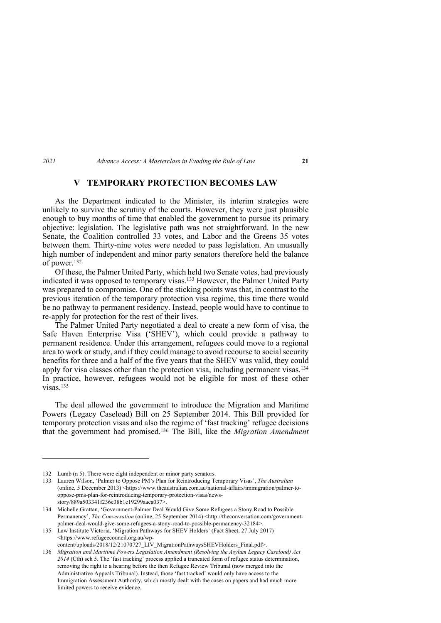# **V TEMPORARY PROTECTION BECOMES LAW**

As the Department indicated to the Minister, its interim strategies were unlikely to survive the scrutiny of the courts. However, they were just plausible enough to buy months of time that enabled the government to pursue its primary objective: legislation. The legislative path was not straightforward. In the new Senate, the Coalition controlled 33 votes, and Labor and the Greens 35 votes between them. Thirty-nine votes were needed to pass legislation. An unusually high number of independent and minor party senators therefore held the balance of power.132

Of these, the Palmer United Party, which held two Senate votes, had previously indicated it was opposed to temporary visas.133 However, the Palmer United Party was prepared to compromise. One of the sticking points was that, in contrast to the previous iteration of the temporary protection visa regime, this time there would be no pathway to permanent residency. Instead, people would have to continue to re-apply for protection for the rest of their lives.

The Palmer United Party negotiated a deal to create a new form of visa, the Safe Haven Enterprise Visa ('SHEV'), which could provide a pathway to permanent residence. Under this arrangement, refugees could move to a regional area to work or study, and if they could manage to avoid recourse to social security benefits for three and a half of the five years that the SHEV was valid, they could apply for visa classes other than the protection visa, including permanent visas.134 In practice, however, refugees would not be eligible for most of these other visas.135

The deal allowed the government to introduce the Migration and Maritime Powers (Legacy Caseload) Bill on 25 September 2014. This Bill provided for temporary protection visas and also the regime of 'fast tracking' refugee decisions that the government had promised.136 The Bill, like the *Migration Amendment* 

<sup>132</sup> Lumb (n 5). There were eight independent or minor party senators.

<sup>133</sup> Lauren Wilson, 'Palmer to Oppose PM's Plan for Reintroducing Temporary Visas', *The Australian* (online, 5 December 2013) <https://www.theaustralian.com.au/national-affairs/immigration/palmer-tooppose-pms-plan-for-reintroducing-temporary-protection-visas/newsstory/889a503341f236e38b1e19299aaca037>.

<sup>134</sup> Michelle Grattan, 'Government-Palmer Deal Would Give Some Refugees a Stony Road to Possible Permanency', *The Conversation* (online, 25 September 2014) <http://theconversation.com/governmentpalmer-deal-would-give-some-refugees-a-stony-road-to-possible-permanency-32184>.

<sup>135</sup> Law Institute Victoria, 'Migration Pathways for SHEV Holders' (Fact Sheet, 27 July 2017) <https://www.refugeecouncil.org.au/wpcontent/uploads/2018/12/21070727\_LIV\_MigrationPathwaysSHEVHolders\_Final.pdf>.

<sup>136</sup> *Migration and Maritime Powers Legislation Amendment (Resolving the Asylum Legacy Caseload) Act 2014* (Cth) sch 5. The 'fast tracking' process applied a truncated form of refugee status determination, removing the right to a hearing before the then Refugee Review Tribunal (now merged into the Administrative Appeals Tribunal). Instead, those 'fast tracked' would only have access to the Immigration Assessment Authority, which mostly dealt with the cases on papers and had much more limited powers to receive evidence.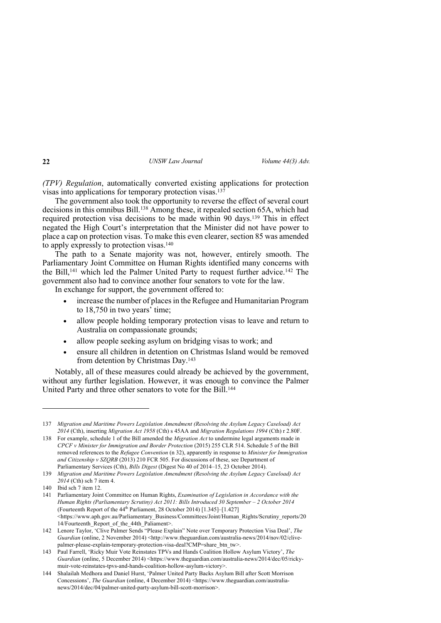*(TPV) Regulation*, automatically converted existing applications for protection visas into applications for temporary protection visas.137

The government also took the opportunity to reverse the effect of several court decisions in this omnibus Bill. <sup>138</sup> Among these, it repealed section 65A, which had required protection visa decisions to be made within 90 days.139 This in effect negated the High Court's interpretation that the Minister did not have power to place a cap on protection visas. To make this even clearer, section 85 was amended to apply expressly to protection visas. 140

The path to a Senate majority was not, however, entirely smooth. The Parliamentary Joint Committee on Human Rights identified many concerns with the Bill,<sup>141</sup> which led the Palmer United Party to request further advice.<sup>142</sup> The government also had to convince another four senators to vote for the law.

In exchange for support, the government offered to:

- increase the number of places in the Refugee and Humanitarian Program to 18,750 in two years' time;
- allow people holding temporary protection visas to leave and return to Australia on compassionate grounds;
- allow people seeking asylum on bridging visas to work; and
- ensure all children in detention on Christmas Island would be removed from detention by Christmas Day.143

Notably, all of these measures could already be achieved by the government, without any further legislation. However, it was enough to convince the Palmer United Party and three other senators to vote for the Bill.144

<sup>137</sup> *Migration and Maritime Powers Legislation Amendment (Resolving the Asylum Legacy Caseload) Act 2014* (Cth), inserting *Migration Act 1958* (Cth) s 45AA and *Migration Regulations 1994* (Cth) r 2.80F.

<sup>138</sup> For example, schedule 1 of the Bill amended the *Migration Act* to undermine legal arguments made in *CPCF v Minister for Immigration and Border Protection* (2015) 255 CLR 514. Schedule 5 of the Bill removed references to the *Refugee Convention* (n 32), apparently in response to *Minister for Immigration and Citizenship v SZQRB* (2013) 210 FCR 505. For discussions of these, see Department of Parliamentary Services (Cth), *Bills Digest* (Digest No 40 of 2014–15, 23 October 2014).

<sup>139</sup> *Migration and Maritime Powers Legislation Amendment (Resolving the Asylum Legacy Caseload) Act 2014* (Cth) sch 7 item 4.

<sup>140</sup> Ibid sch 7 item 12.

<sup>141</sup> Parliamentary Joint Committee on Human Rights, *Examination of Legislation in Accordance with the Human Rights (Parliamentary Scrutiny) Act 2011: Bills Introduced 30 September – 2 October 2014*  (Fourteenth Report of the  $44<sup>th</sup>$  Parliament, 28 October 2014) [1.345]–[1.427]  $\leq$ https://www.aph.gov.au/Parliamentary\_Business/Committees/Joint/Human\_Rights/Scrutiny\_reports/20 14/Fourteenth\_Report\_of\_the\_44th\_Paliament>.

<sup>142</sup> Lenore Taylor, 'Clive Palmer Sends "Please Explain" Note over Temporary Protection Visa Deal', *The Guardian* (online, 2 November 2014) <http://www.theguardian.com/australia-news/2014/nov/02/clivepalmer-please-explain-temporary-protection-visa-deal?CMP=share\_btn\_tw>.

<sup>143</sup> Paul Farrell, 'Ricky Muir Vote Reinstates TPVs and Hands Coalition Hollow Asylum Victory', *The Guardian* (online, 5 December 2014) <https://www.theguardian.com/australia-news/2014/dec/05/rickymuir-vote-reinstates-tpvs-and-hands-coalition-hollow-asylum-victory>.

<sup>144</sup> Shalailah Medhora and Daniel Hurst, 'Palmer United Party Backs Asylum Bill after Scott Morrison Concessions', *The Guardian* (online, 4 December 2014) <https://www.theguardian.com/australianews/2014/dec/04/palmer-united-party-asylum-bill-scott-morrison>.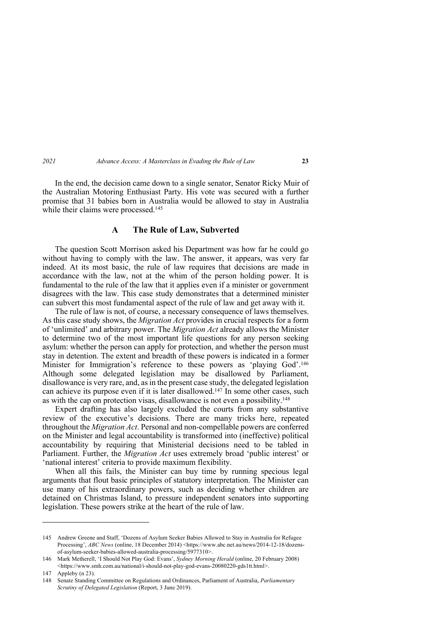In the end, the decision came down to a single senator, Senator Ricky Muir of the Australian Motoring Enthusiast Party. His vote was secured with a further promise that 31 babies born in Australia would be allowed to stay in Australia while their claims were processed.<sup>145</sup>

# **A The Rule of Law, Subverted**

The question Scott Morrison asked his Department was how far he could go without having to comply with the law. The answer, it appears, was very far indeed. At its most basic, the rule of law requires that decisions are made in accordance with the law, not at the whim of the person holding power. It is fundamental to the rule of the law that it applies even if a minister or government disagrees with the law. This case study demonstrates that a determined minister can subvert this most fundamental aspect of the rule of law and get away with it.

The rule of law is not, of course, a necessary consequence of laws themselves. As this case study shows, the *Migration Act* provides in crucial respects for a form of 'unlimited' and arbitrary power. The *Migration Act* already allows the Minister to determine two of the most important life questions for any person seeking asylum: whether the person can apply for protection, and whether the person must stay in detention. The extent and breadth of these powers is indicated in a former Minister for Immigration's reference to these powers as 'playing God'.146 Although some delegated legislation may be disallowed by Parliament, disallowance is very rare, and, as in the present case study, the delegated legislation can achieve its purpose even if it is later disallowed.<sup>147</sup> In some other cases, such as with the cap on protection visas, disallowance is not even a possibility. 148

Expert drafting has also largely excluded the courts from any substantive review of the executive's decisions. There are many tricks here, repeated throughout the *Migration Act*. Personal and non-compellable powers are conferred on the Minister and legal accountability is transformed into (ineffective) political accountability by requiring that Ministerial decisions need to be tabled in Parliament. Further, the *Migration Act* uses extremely broad 'public interest' or 'national interest' criteria to provide maximum flexibility.

When all this fails, the Minister can buy time by running specious legal arguments that flout basic principles of statutory interpretation. The Minister can use many of his extraordinary powers, such as deciding whether children are detained on Christmas Island, to pressure independent senators into supporting legislation. These powers strike at the heart of the rule of law.

<sup>145</sup> Andrew Greene and Staff, 'Dozens of Asylum Seeker Babies Allowed to Stay in Australia for Refugee Processing', *ABC News* (online, 18 December 2014) <https://www.abc.net.au/news/2014-12-18/dozensof-asylum-seeker-babies-allowed-australia-processing/5977310>.

<sup>146</sup> Mark Metherell, 'I Should Not Play God: Evans', *Sydney Morning Herald* (online, 20 February 2008) <https://www.smh.com.au/national/i-should-not-play-god-evans-20080220-gds1tt.html>.

<sup>147</sup> Appleby (n 23).

<sup>148</sup> Senate Standing Committee on Regulations and Ordinances, Parliament of Australia, *Parliamentary Scrutiny of Delegated Legislation* (Report, 3 June 2019).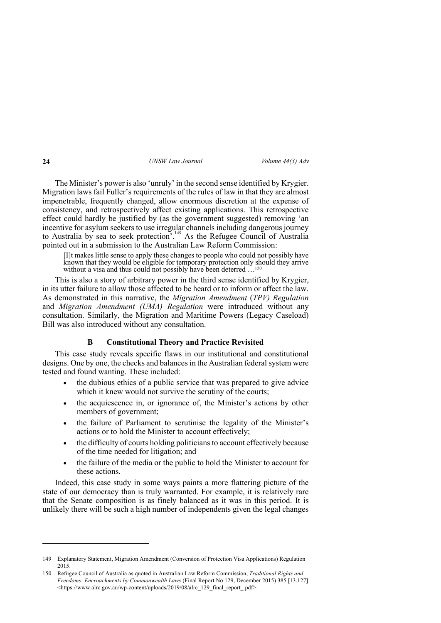The Minister's power is also 'unruly' in the second sense identified by Krygier. Migration laws fail Fuller's requirements of the rules of law in that they are almost impenetrable, frequently changed, allow enormous discretion at the expense of consistency, and retrospectively affect existing applications. This retrospective effect could hardly be justified by (as the government suggested) removing 'an incentive for asylum seekers to use irregular channels including dangerous journey to Australia by sea to seek protection<sup>7</sup>.<sup>149</sup> As the Refugee Council of Australia pointed out in a submission to the Australian Law Reform Commission:

[I]t makes little sense to apply these changes to people who could not possibly have known that they would be eligible for temporary protection only should they arrive without a visa and thus could not possibly have been deterred ...<sup>150</sup>

This is also a story of arbitrary power in the third sense identified by Krygier, in its utter failure to allow those affected to be heard or to inform or affect the law. As demonstrated in this narrative, the *Migration Amendment* (*TPV) Regulation* and *Migration Amendment (UMA) Regulation* were introduced without any consultation. Similarly, the Migration and Maritime Powers (Legacy Caseload) Bill was also introduced without any consultation.

# **B Constitutional Theory and Practice Revisited**

This case study reveals specific flaws in our institutional and constitutional designs. One by one, the checks and balances in the Australian federal system were tested and found wanting. These included:

- the dubious ethics of a public service that was prepared to give advice which it knew would not survive the scrutiny of the courts;
- the acquiescence in, or ignorance of, the Minister's actions by other members of government;
- the failure of Parliament to scrutinise the legality of the Minister's actions or to hold the Minister to account effectively;
- the difficulty of courts holding politicians to account effectively because of the time needed for litigation; and
- the failure of the media or the public to hold the Minister to account for these actions.

Indeed, this case study in some ways paints a more flattering picture of the state of our democracy than is truly warranted. For example, it is relatively rare that the Senate composition is as finely balanced as it was in this period. It is unlikely there will be such a high number of independents given the legal changes

<sup>149</sup> Explanatory Statement, Migration Amendment (Conversion of Protection Visa Applications) Regulation 2015.

<sup>150</sup> Refugee Council of Australia as quoted in Australian Law Reform Commission, *Traditional Rights and Freedoms: Encroachments by Commonwealth Laws* (Final Report No 129, December 2015) 385 [13.127] <https://www.alrc.gov.au/wp-content/uploads/2019/08/alrc\_129\_final\_report\_.pdf>.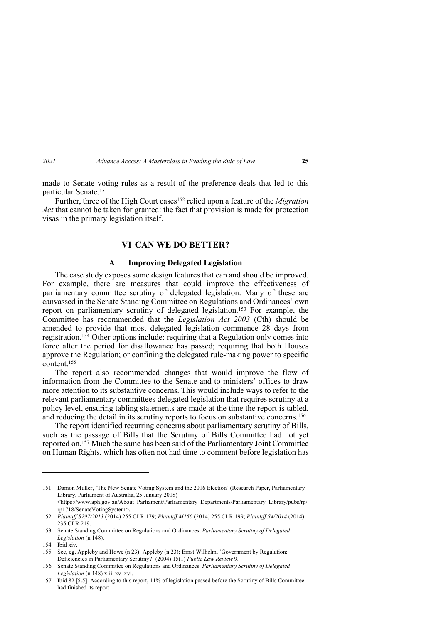made to Senate voting rules as a result of the preference deals that led to this particular Senate. 151

Further, three of the High Court cases<sup>152</sup> relied upon a feature of the *Migration Act* that cannot be taken for granted: the fact that provision is made for protection visas in the primary legislation itself.

# **VI CAN WE DO BETTER?**

# **A Improving Delegated Legislation**

The case study exposes some design features that can and should be improved. For example, there are measures that could improve the effectiveness of parliamentary committee scrutiny of delegated legislation. Many of these are canvassed in the Senate Standing Committee on Regulations and Ordinances' own report on parliamentary scrutiny of delegated legislation.153 For example, the Committee has recommended that the *Legislation Act 2003* (Cth) should be amended to provide that most delegated legislation commence 28 days from registration.154 Other options include: requiring that a Regulation only comes into force after the period for disallowance has passed; requiring that both Houses approve the Regulation; or confining the delegated rule-making power to specific content.<sup>155</sup>

The report also recommended changes that would improve the flow of information from the Committee to the Senate and to ministers' offices to draw more attention to its substantive concerns. This would include ways to refer to the relevant parliamentary committees delegated legislation that requires scrutiny at a policy level, ensuring tabling statements are made at the time the report is tabled, and reducing the detail in its scrutiny reports to focus on substantive concerns.156

The report identified recurring concerns about parliamentary scrutiny of Bills, such as the passage of Bills that the Scrutiny of Bills Committee had not yet reported on. <sup>157</sup> Much the same has been said of the Parliamentary Joint Committee on Human Rights, which has often not had time to comment before legislation has

<sup>151</sup> Damon Muller, 'The New Senate Voting System and the 2016 Election' (Research Paper, Parliamentary Library, Parliament of Australia, 25 January 2018)

<sup>&</sup>lt;https://www.aph.gov.au/About\_Parliament/Parliamentary\_Departments/Parliamentary\_Library/pubs/rp/ rp1718/SenateVotingSystem>.

<sup>152</sup> *Plaintiff S297/2013* (2014) 255 CLR 179; *Plaintiff M150* (2014) 255 CLR 199; *Plaintiff S4/2014* (2014) 235 CLR 219.

<sup>153</sup> Senate Standing Committee on Regulations and Ordinances, *Parliamentary Scrutiny of Delegated Legislation* (n 148).

<sup>154</sup> Ibid xiv.

<sup>155</sup> See, eg, Appleby and Howe (n 23); Appleby (n 23); Ernst Wilhelm, 'Government by Regulation: Deficiencies in Parliamentary Scrutiny?' (2004) 15(1) *Public Law Review* 9.

<sup>156</sup> Senate Standing Committee on Regulations and Ordinances, *Parliamentary Scrutiny of Delegated Legislation* (n 148) xiii, xv–xvi.

<sup>157</sup> Ibid 82 [5.5]. According to this report, 11% of legislation passed before the Scrutiny of Bills Committee had finished its report.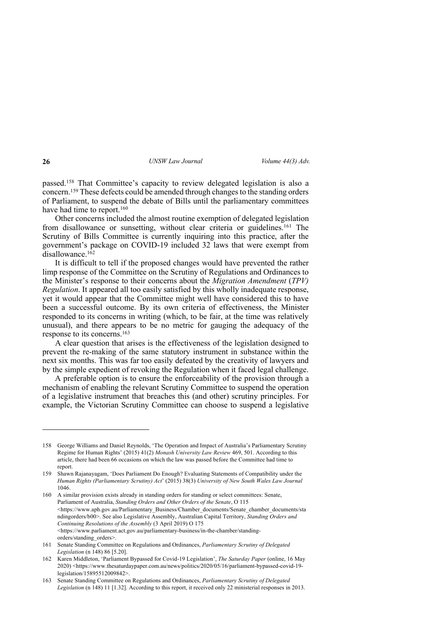passed.158 That Committee's capacity to review delegated legislation is also a concern.159 These defects could be amended through changes to the standing orders of Parliament, to suspend the debate of Bills until the parliamentary committees have had time to report.<sup>160</sup>

Other concerns included the almost routine exemption of delegated legislation from disallowance or sunsetting, without clear criteria or guidelines.161 The Scrutiny of Bills Committee is currently inquiring into this practice, after the government's package on COVID-19 included 32 laws that were exempt from disallowance.162

It is difficult to tell if the proposed changes would have prevented the rather limp response of the Committee on the Scrutiny of Regulations and Ordinances to the Minister's response to their concerns about the *Migration Amendment* (*TPV) Regulation*. It appeared all too easily satisfied by this wholly inadequate response, yet it would appear that the Committee might well have considered this to have been a successful outcome. By its own criteria of effectiveness, the Minister responded to its concerns in writing (which, to be fair, at the time was relatively unusual), and there appears to be no metric for gauging the adequacy of the response to its concerns.163

A clear question that arises is the effectiveness of the legislation designed to prevent the re-making of the same statutory instrument in substance within the next six months. This was far too easily defeated by the creativity of lawyers and by the simple expedient of revoking the Regulation when it faced legal challenge.

A preferable option is to ensure the enforceability of the provision through a mechanism of enabling the relevant Scrutiny Committee to suspend the operation of a legislative instrument that breaches this (and other) scrutiny principles. For example, the Victorian Scrutiny Committee can choose to suspend a legislative

<sup>158</sup> George Williams and Daniel Reynolds, 'The Operation and Impact of Australia's Parliamentary Scrutiny Regime for Human Rights' (2015) 41(2) *Monash University Law Review* 469, 501. According to this article, there had been 66 occasions on which the law was passed before the Committee had time to report.

<sup>159</sup> Shawn Rajanayagam, 'Does Parliament Do Enough? Evaluating Statements of Compatibility under the *Human Rights (Parliamentary Scrutiny) Act*' (2015) 38(3) *University of New South Wales Law Journal* 1046.

<sup>160</sup> A similar provision exists already in standing orders for standing or select committees: Senate, Parliament of Australia, *Standing Orders and Other Orders of the Senate*, O 115 <https://www.aph.gov.au/Parliamentary\_Business/Chamber\_documents/Senate\_chamber\_documents/sta ndingorders/b00>. See also Legislative Assembly, Australian Capital Territory, *Standing Orders and Continuing Resolutions of the Assembly* (3 April 2019) O 175 <https://www.parliament.act.gov.au/parliamentary-business/in-the-chamber/standingorders/standing\_orders>.

<sup>161</sup> Senate Standing Committee on Regulations and Ordinances, *Parliamentary Scrutiny of Delegated Legislation* (n 148) 86 [5.20].

<sup>162</sup> Karen Middleton, 'Parliament Bypassed for Covid-19 Legislation', *The Saturday Paper* (online, 16 May 2020) <https://www.thesaturdaypaper.com.au/news/politics/2020/05/16/parliament-bypassed-covid-19 legislation/15895512009842>.

<sup>163</sup> Senate Standing Committee on Regulations and Ordinances, *Parliamentary Scrutiny of Delegated Legislation* (n 148) 11 [1.32]. According to this report, it received only 22 ministerial responses in 2013.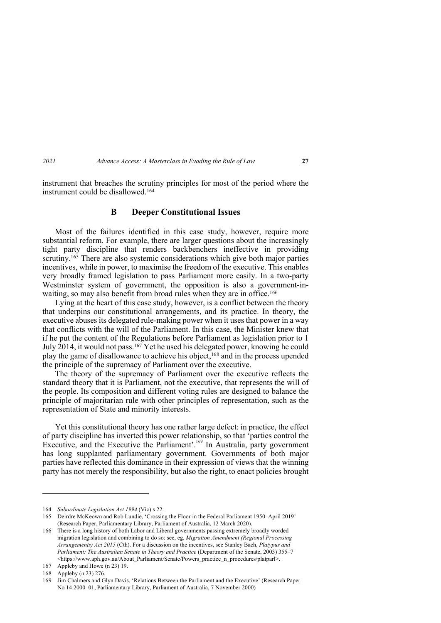instrument that breaches the scrutiny principles for most of the period where the instrument could be disallowed.164

## **B Deeper Constitutional Issues**

Most of the failures identified in this case study, however, require more substantial reform. For example, there are larger questions about the increasingly tight party discipline that renders backbenchers ineffective in providing scrutiny.<sup>165</sup> There are also systemic considerations which give both major parties incentives, while in power, to maximise the freedom of the executive. This enables very broadly framed legislation to pass Parliament more easily. In a two-party Westminster system of government, the opposition is also a government-inwaiting, so may also benefit from broad rules when they are in office.<sup>166</sup>

Lying at the heart of this case study, however, is a conflict between the theory that underpins our constitutional arrangements, and its practice. In theory, the executive abuses its delegated rule-making power when it uses that power in a way that conflicts with the will of the Parliament. In this case, the Minister knew that if he put the content of the Regulations before Parliament as legislation prior to 1 July 2014, it would not pass,  $^{167}$  Yet he used his delegated power, knowing he could play the game of disallowance to achieve his object,168 and in the process upended the principle of the supremacy of Parliament over the executive.

The theory of the supremacy of Parliament over the executive reflects the standard theory that it is Parliament, not the executive, that represents the will of the people. Its composition and different voting rules are designed to balance the principle of majoritarian rule with other principles of representation, such as the representation of State and minority interests.

Yet this constitutional theory has one rather large defect: in practice, the effect of party discipline has inverted this power relationship, so that 'parties control the Executive, and the Executive the Parliament'. <sup>169</sup> In Australia, party government has long supplanted parliamentary government. Governments of both major parties have reflected this dominance in their expression of views that the winning party has not merely the responsibility, but also the right, to enact policies brought

<sup>164</sup> *Subordinate Legislation Act 1994* (Vic) s 22.

<sup>165</sup> Deirdre McKeown and Rob Lundie, 'Crossing the Floor in the Federal Parliament 1950–April 2019' (Research Paper, Parliamentary Library, Parliament of Australia, 12 March 2020).

<sup>166</sup> There is a long history of both Labor and Liberal governments passing extremely broadly worded migration legislation and combining to do so: see, eg, *Migration Amendment (Regional Processing Arrangements) Act 2015* (Cth). For a discussion on the incentives, see Stanley Bach, *Platypus and Parliament: The Australian Senate in Theory and Practice* (Department of the Senate, 2003) 355–7 <https://www.aph.gov.au/About\_Parliament/Senate/Powers\_practice\_n\_procedures/platparl>.

<sup>167</sup> Appleby and Howe (n 23) 19.

<sup>168</sup> Appleby (n 23) 276.

<sup>169</sup> Jim Chalmers and Glyn Davis, 'Relations Between the Parliament and the Executive' (Research Paper No 14 2000–01, Parliamentary Library, Parliament of Australia, 7 November 2000)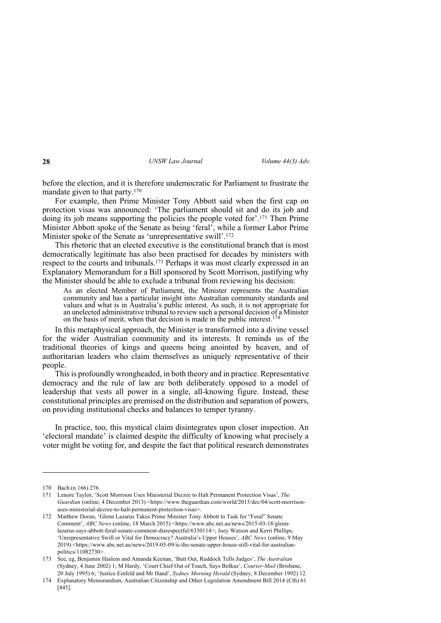before the election, and it is therefore undemocratic for Parliament to frustrate the mandate given to that party. $170$ 

For example, then Prime Minister Tony Abbott said when the first cap on protection visas was announced: 'The parliament should sit and do its job and doing its job means supporting the policies the people voted for'.171 Then Prime Minister Abbott spoke of the Senate as being 'feral', while a former Labor Prime Minister spoke of the Senate as 'unrepresentative swill'. 172

This rhetoric that an elected executive is the constitutional branch that is most democratically legitimate has also been practised for decades by ministers with respect to the courts and tribunals.173 Perhaps it was most clearly expressed in an Explanatory Memorandum for a Bill sponsored by Scott Morrison, justifying why the Minister should be able to exclude a tribunal from reviewing his decision:

As an elected Member of Parliament, the Minister represents the Australian community and has a particular insight into Australian community standards and values and what is in Australia's public interest. As such, it is not appropriate for an unelected administrative tribunal to review such a personal decision of a Minister on the basis of merit, when that decision is made in the public interest. 174

In this metaphysical approach, the Minister is transformed into a divine vessel for the wider Australian community and its interests. It reminds us of the traditional theories of kings and queens being anointed by heaven, and of authoritarian leaders who claim themselves as uniquely representative of their people.

This is profoundly wrongheaded, in both theory and in practice. Representative democracy and the rule of law are both deliberately opposed to a model of leadership that vests all power in a single, all-knowing figure. Instead, these constitutional principles are premised on the distribution and separation of powers, on providing institutional checks and balances to temper tyranny.

In practice, too, this mystical claim disintegrates upon closer inspection. An 'electoral mandate' is claimed despite the difficulty of knowing what precisely a voter might be voting for, and despite the fact that political research demonstrates

<sup>170</sup> Bach (n 166) 276.

<sup>171</sup> Lenore Taylor, 'Scott Morrison Uses Ministerial Decree to Halt Permanent Protection Visas', *The Guardian* (online, 4 December 2013) <https://www.theguardian.com/world/2013/dec/04/scott-morrisonuses-ministerial-decree-to-halt-permanent-protection-visas>.

<sup>172</sup> Matthew Doran, 'Glenn Lazarus Takes Prime Minister Tony Abbott to Task for "Feral" Senate Comment', *ABC News* (online, 18 March 2015) <https://www.abc.net.au/news/2015-03-18/glennlazarus-says-abbott-feral-senate-comment-disrespectful/6330114>; Joey Watson and Kerri Phillips, 'Unrepresentative Swill or Vital for Democracy? Australia's Upper Houses', *ABC News* (online, 9 May 2019) <https://www.abc.net.au/news/2019-05-09/is-the-senate-upper-house-still-vital-for-australianpolitics/11082730>.

<sup>173</sup> See, eg, Benjamin Haslem and Amanda Keenan, 'Butt Out, Ruddock Tells Judges', *The Australian* (Sydney, 4 June 2002) 1; M Hardy, 'Court Chief Out of Touch, Says Bolkus', *Courier-Mail* (Brisbane, 20 July 1995) 6; 'Justice Einfeld and Mr Hand', *Sydney Morning Herald* (Sydney, 8 December 1992) 12.

<sup>174</sup> Explanatory Memorandum, Australian Citizenship and Other Legislation Amendment Bill 2014 (Cth) 61 [445].